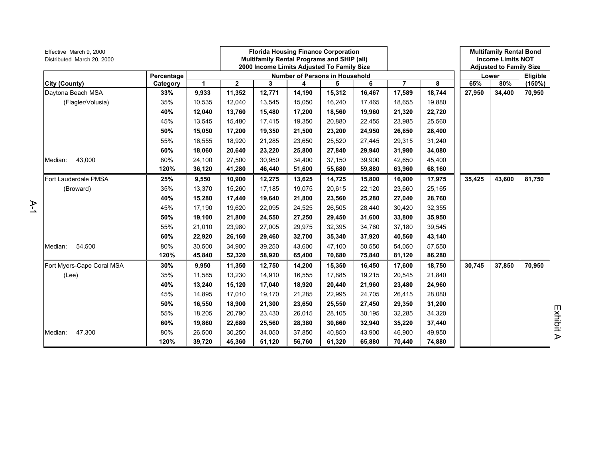| Effective March 9, 2000<br>Distributed March 20, 2000 |            |        |              |        | <b>Florida Housing Finance Corporation</b><br>Multifamily Rental Programs and SHIP (all)<br>2000 Income Limits Adjusted To Family Size |        |        |                |        |        | <b>Multifamily Rental Bond</b><br><b>Income Limits NOT</b><br><b>Adjusted to Family Size</b> |          |
|-------------------------------------------------------|------------|--------|--------------|--------|----------------------------------------------------------------------------------------------------------------------------------------|--------|--------|----------------|--------|--------|----------------------------------------------------------------------------------------------|----------|
|                                                       | Percentage |        |              |        | <b>Number of Persons in Household</b>                                                                                                  |        |        |                |        |        | Lower                                                                                        | Eligible |
| <b>City (County)</b>                                  | Category   | 1      | $\mathbf{2}$ | 3      | 4                                                                                                                                      | 5      | 6      | $\overline{7}$ | 8      | 65%    | 80%                                                                                          | (150%)   |
| Daytona Beach MSA                                     | 33%        | 9,933  | 11,352       | 12,771 | 14,190                                                                                                                                 | 15,312 | 16,467 | 17,589         | 18,744 | 27,950 | 34,400                                                                                       | 70,950   |
| (Flagler/Volusia)                                     | 35%        | 10,535 | 12,040       | 13,545 | 15,050                                                                                                                                 | 16,240 | 17,465 | 18,655         | 19,880 |        |                                                                                              |          |
|                                                       | 40%        | 12,040 | 13,760       | 15,480 | 17,200                                                                                                                                 | 18,560 | 19,960 | 21,320         | 22,720 |        |                                                                                              |          |
|                                                       | 45%        | 13,545 | 15,480       | 17,415 | 19,350                                                                                                                                 | 20,880 | 22,455 | 23,985         | 25,560 |        |                                                                                              |          |
|                                                       | 50%        | 15,050 | 17,200       | 19,350 | 21,500                                                                                                                                 | 23,200 | 24,950 | 26,650         | 28,400 |        |                                                                                              |          |
|                                                       | 55%        | 16,555 | 18,920       | 21,285 | 23,650                                                                                                                                 | 25,520 | 27,445 | 29,315         | 31,240 |        |                                                                                              |          |
|                                                       | 60%        | 18,060 | 20,640       | 23,220 | 25,800                                                                                                                                 | 27,840 | 29,940 | 31,980         | 34,080 |        |                                                                                              |          |
| 43,000<br>Median:                                     | 80%        | 24,100 | 27,500       | 30,950 | 34,400                                                                                                                                 | 37,150 | 39,900 | 42,650         | 45,400 |        |                                                                                              |          |
|                                                       | 120%       | 36,120 | 41,280       | 46,440 | 51,600                                                                                                                                 | 55,680 | 59,880 | 63,960         | 68,160 |        |                                                                                              |          |
| Fort Lauderdale PMSA                                  | 25%        | 9,550  | 10,900       | 12,275 | 13,625                                                                                                                                 | 14,725 | 15,800 | 16,900         | 17,975 | 35,425 | 43,600                                                                                       | 81,750   |
| (Broward)                                             | 35%        | 13,370 | 15,260       | 17,185 | 19,075                                                                                                                                 | 20,615 | 22,120 | 23,660         | 25,165 |        |                                                                                              |          |
|                                                       | 40%        | 15,280 | 17,440       | 19,640 | 21,800                                                                                                                                 | 23,560 | 25,280 | 27,040         | 28,760 |        |                                                                                              |          |
|                                                       | 45%        | 17,190 | 19,620       | 22,095 | 24.525                                                                                                                                 | 26,505 | 28,440 | 30,420         | 32,355 |        |                                                                                              |          |
|                                                       | 50%        | 19,100 | 21,800       | 24,550 | 27,250                                                                                                                                 | 29,450 | 31,600 | 33,800         | 35,950 |        |                                                                                              |          |
|                                                       | 55%        | 21,010 | 23,980       | 27,005 | 29,975                                                                                                                                 | 32,395 | 34,760 | 37,180         | 39,545 |        |                                                                                              |          |
|                                                       | 60%        | 22,920 | 26,160       | 29,460 | 32,700                                                                                                                                 | 35,340 | 37,920 | 40,560         | 43,140 |        |                                                                                              |          |
| 54,500<br>Median:                                     | 80%        | 30,500 | 34,900       | 39,250 | 43,600                                                                                                                                 | 47,100 | 50,550 | 54,050         | 57,550 |        |                                                                                              |          |
|                                                       | 120%       | 45,840 | 52,320       | 58,920 | 65,400                                                                                                                                 | 70,680 | 75,840 | 81,120         | 86,280 |        |                                                                                              |          |
| Fort Myers-Cape Coral MSA                             | 30%        | 9,950  | 11,350       | 12,750 | 14,200                                                                                                                                 | 15,350 | 16,450 | 17,600         | 18,750 | 30,745 | 37,850                                                                                       | 70,950   |
| (Lee)                                                 | 35%        | 11,585 | 13,230       | 14,910 | 16,555                                                                                                                                 | 17,885 | 19,215 | 20,545         | 21,840 |        |                                                                                              |          |
|                                                       | 40%        | 13,240 | 15,120       | 17,040 | 18,920                                                                                                                                 | 20,440 | 21,960 | 23,480         | 24,960 |        |                                                                                              |          |
|                                                       | 45%        | 14,895 | 17,010       | 19,170 | 21,285                                                                                                                                 | 22,995 | 24,705 | 26,415         | 28,080 |        |                                                                                              |          |
|                                                       | 50%        | 16,550 | 18,900       | 21,300 | 23,650                                                                                                                                 | 25,550 | 27,450 | 29,350         | 31,200 |        |                                                                                              |          |
|                                                       | 55%        | 18,205 | 20,790       | 23,430 | 26,015                                                                                                                                 | 28,105 | 30,195 | 32,285         | 34,320 |        |                                                                                              |          |
|                                                       | 60%        | 19,860 | 22,680       | 25,560 | 28,380                                                                                                                                 | 30,660 | 32,940 | 35,220         | 37,440 |        |                                                                                              |          |
| 47,300<br>Median:                                     | 80%        | 26,500 | 30,250       | 34,050 | 37.850                                                                                                                                 | 40,850 | 43,900 | 46,900         | 49,950 |        |                                                                                              |          |
|                                                       | 120%       | 39,720 | 45,360       | 51,120 | 56,760                                                                                                                                 | 61,320 | 65,880 | 70,440         | 74,880 |        |                                                                                              |          |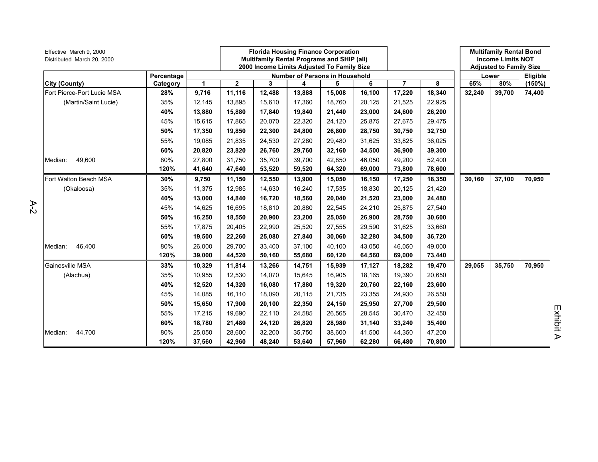| Effective March 9, 2000<br>Distributed March 20, 2000 |            |        |                |        |                                | <b>Florida Housing Finance Corporation</b><br><b>Multifamily Rental Programs and SHIP (all)</b><br>2000 Income Limits Adjusted To Family Size |        |                |        |        | <b>Multifamily Rental Bond</b><br><b>Income Limits NOT</b><br><b>Adjusted to Family Size</b> |          |
|-------------------------------------------------------|------------|--------|----------------|--------|--------------------------------|-----------------------------------------------------------------------------------------------------------------------------------------------|--------|----------------|--------|--------|----------------------------------------------------------------------------------------------|----------|
|                                                       | Percentage |        |                |        | Number of Persons in Household |                                                                                                                                               |        |                |        |        | Lower                                                                                        | Eligible |
| City (County)                                         | Category   | 1      | $\overline{2}$ | 3      | 4                              | 5                                                                                                                                             | 6      | $\overline{7}$ | 8      | 65%    | 80%                                                                                          | (150%)   |
| Fort Pierce-Port Lucie MSA                            | 28%        | 9,716  | 11,116         | 12,488 | 13,888                         | 15,008                                                                                                                                        | 16,100 | 17,220         | 18,340 | 32,240 | 39,700                                                                                       | 74,400   |
| (Martin/Saint Lucie)                                  | 35%        | 12,145 | 13,895         | 15,610 | 17,360                         | 18,760                                                                                                                                        | 20,125 | 21,525         | 22,925 |        |                                                                                              |          |
|                                                       | 40%        | 13,880 | 15,880         | 17,840 | 19,840                         | 21,440                                                                                                                                        | 23,000 | 24,600         | 26,200 |        |                                                                                              |          |
|                                                       | 45%        | 15,615 | 17,865         | 20,070 | 22,320                         | 24,120                                                                                                                                        | 25,875 | 27,675         | 29,475 |        |                                                                                              |          |
|                                                       | 50%        | 17,350 | 19,850         | 22,300 | 24,800                         | 26,800                                                                                                                                        | 28,750 | 30,750         | 32,750 |        |                                                                                              |          |
|                                                       | 55%        | 19,085 | 21,835         | 24,530 | 27,280                         | 29,480                                                                                                                                        | 31,625 | 33,825         | 36,025 |        |                                                                                              |          |
|                                                       | 60%        | 20,820 | 23,820         | 26,760 | 29,760                         | 32,160                                                                                                                                        | 34,500 | 36,900         | 39,300 |        |                                                                                              |          |
| 49,600<br>Median:                                     | 80%        | 27,800 | 31,750         | 35,700 | 39,700                         | 42,850                                                                                                                                        | 46,050 | 49,200         | 52,400 |        |                                                                                              |          |
|                                                       | 120%       | 41,640 | 47,640         | 53,520 | 59,520                         | 64,320                                                                                                                                        | 69,000 | 73,800         | 78,600 |        |                                                                                              |          |
| Fort Walton Beach MSA                                 | 30%        | 9,750  | 11,150         | 12,550 | 13,900                         | 15,050                                                                                                                                        | 16,150 | 17,250         | 18,350 | 30,160 | 37,100                                                                                       | 70,950   |
| (Okaloosa)                                            | 35%        | 11,375 | 12,985         | 14,630 | 16,240                         | 17,535                                                                                                                                        | 18,830 | 20,125         | 21,420 |        |                                                                                              |          |
|                                                       | 40%        | 13,000 | 14,840         | 16,720 | 18,560                         | 20,040                                                                                                                                        | 21,520 | 23,000         | 24,480 |        |                                                                                              |          |
|                                                       | 45%        | 14,625 | 16,695         | 18,810 | 20,880                         | 22,545                                                                                                                                        | 24,210 | 25,875         | 27,540 |        |                                                                                              |          |
|                                                       | 50%        | 16,250 | 18,550         | 20,900 | 23,200                         | 25,050                                                                                                                                        | 26,900 | 28,750         | 30,600 |        |                                                                                              |          |
|                                                       | 55%        | 17,875 | 20,405         | 22,990 | 25,520                         | 27,555                                                                                                                                        | 29,590 | 31,625         | 33,660 |        |                                                                                              |          |
|                                                       | 60%        | 19,500 | 22,260         | 25,080 | 27,840                         | 30,060                                                                                                                                        | 32,280 | 34,500         | 36,720 |        |                                                                                              |          |
| 46,400<br>Median:                                     | 80%        | 26,000 | 29,700         | 33,400 | 37,100                         | 40,100                                                                                                                                        | 43,050 | 46,050         | 49,000 |        |                                                                                              |          |
|                                                       | 120%       | 39,000 | 44,520         | 50,160 | 55,680                         | 60,120                                                                                                                                        | 64,560 | 69,000         | 73,440 |        |                                                                                              |          |
| Gainesville MSA                                       | 33%        | 10,329 | 11,814         | 13,266 | 14,751                         | 15,939                                                                                                                                        | 17,127 | 18,282         | 19,470 | 29,055 | 35,750                                                                                       | 70,950   |
| (Alachua)                                             | 35%        | 10,955 | 12,530         | 14,070 | 15,645                         | 16,905                                                                                                                                        | 18,165 | 19,390         | 20,650 |        |                                                                                              |          |
|                                                       | 40%        | 12,520 | 14,320         | 16,080 | 17,880                         | 19,320                                                                                                                                        | 20,760 | 22,160         | 23,600 |        |                                                                                              |          |
|                                                       | 45%        | 14,085 | 16,110         | 18,090 | 20,115                         | 21,735                                                                                                                                        | 23,355 | 24,930         | 26,550 |        |                                                                                              |          |
|                                                       | 50%        | 15,650 | 17,900         | 20,100 | 22,350                         | 24,150                                                                                                                                        | 25,950 | 27,700         | 29,500 |        |                                                                                              |          |
|                                                       | 55%        | 17,215 | 19,690         | 22,110 | 24,585                         | 26,565                                                                                                                                        | 28,545 | 30,470         | 32,450 |        |                                                                                              |          |
|                                                       | 60%        | 18,780 | 21,480         | 24,120 | 26,820                         | 28,980                                                                                                                                        | 31,140 | 33,240         | 35,400 |        |                                                                                              |          |
| 44,700<br>Median:                                     | 80%        | 25,050 | 28,600         | 32,200 | 35,750                         | 38,600                                                                                                                                        | 41,500 | 44,350         | 47,200 |        |                                                                                              |          |
|                                                       | 120%       | 37,560 | 42,960         | 48,240 | 53,640                         | 57,960                                                                                                                                        | 62,280 | 66,480         | 70,800 |        |                                                                                              |          |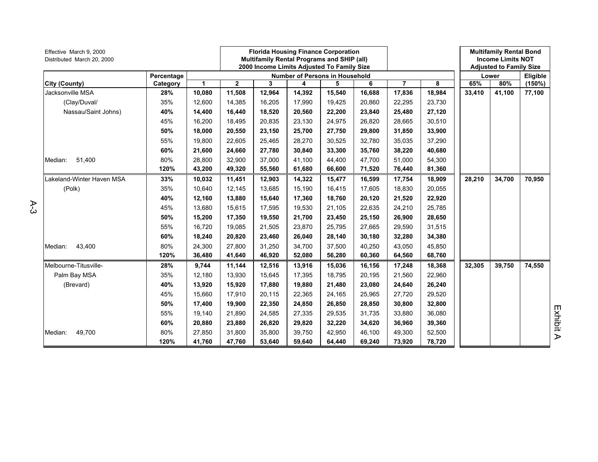| Effective March 9, 2000<br>Distributed March 20, 2000 | Percentage |        |              |        |        | <b>Florida Housing Finance Corporation</b><br>Multifamily Rental Programs and SHIP (all)<br>2000 Income Limits Adjusted To Family Size |        |                |        |        | <b>Multifamily Rental Bond</b><br><b>Income Limits NOT</b><br><b>Adjusted to Family Size</b> |          |
|-------------------------------------------------------|------------|--------|--------------|--------|--------|----------------------------------------------------------------------------------------------------------------------------------------|--------|----------------|--------|--------|----------------------------------------------------------------------------------------------|----------|
|                                                       |            |        |              |        |        | <b>Number of Persons in Household</b>                                                                                                  |        |                |        |        | Lower                                                                                        | Eligible |
| City (County)                                         | Category   | 1      | $\mathbf{2}$ | 3      | 4      | 5                                                                                                                                      | 6      | $\overline{7}$ | 8      | 65%    | 80%                                                                                          | (150%)   |
| Jacksonville MSA                                      | 28%        | 10,080 | 11,508       | 12,964 | 14,392 | 15,540                                                                                                                                 | 16,688 | 17,836         | 18,984 | 33,410 | 41,100                                                                                       | 77,100   |
| (Clay/Duval/                                          | 35%        | 12,600 | 14,385       | 16,205 | 17,990 | 19,425                                                                                                                                 | 20,860 | 22,295         | 23,730 |        |                                                                                              |          |
| Nassau/Saint Johns)                                   | 40%        | 14,400 | 16,440       | 18,520 | 20,560 | 22,200                                                                                                                                 | 23,840 | 25,480         | 27,120 |        |                                                                                              |          |
|                                                       | 45%        | 16,200 | 18,495       | 20,835 | 23,130 | 24,975                                                                                                                                 | 26,820 | 28,665         | 30,510 |        |                                                                                              |          |
|                                                       | 50%        | 18,000 | 20,550       | 23,150 | 25,700 | 27,750                                                                                                                                 | 29,800 | 31,850         | 33,900 |        |                                                                                              |          |
|                                                       | 55%        | 19,800 | 22,605       | 25,465 | 28,270 | 30,525                                                                                                                                 | 32,780 | 35,035         | 37,290 |        |                                                                                              |          |
|                                                       | 60%        | 21,600 | 24,660       | 27,780 | 30,840 | 33,300                                                                                                                                 | 35,760 | 38,220         | 40,680 |        |                                                                                              |          |
| Median:<br>51,400                                     | 80%        | 28,800 | 32,900       | 37,000 | 41,100 | 44,400                                                                                                                                 | 47,700 | 51,000         | 54,300 |        |                                                                                              |          |
|                                                       | 120%       | 43,200 | 49,320       | 55,560 | 61,680 | 66,600                                                                                                                                 | 71,520 | 76,440         | 81,360 |        |                                                                                              |          |
| Lakeland-Winter Haven MSA                             | 33%        | 10,032 | 11,451       | 12,903 | 14,322 | 15,477                                                                                                                                 | 16,599 | 17,754         | 18,909 | 28,210 | 34,700                                                                                       | 70,950   |
| (Polk)                                                | 35%        | 10,640 | 12,145       | 13,685 | 15,190 | 16,415                                                                                                                                 | 17,605 | 18,830         | 20,055 |        |                                                                                              |          |
|                                                       | 40%        | 12,160 | 13,880       | 15,640 | 17,360 | 18,760                                                                                                                                 | 20,120 | 21,520         | 22,920 |        |                                                                                              |          |
|                                                       | 45%        | 13,680 | 15,615       | 17.595 | 19,530 | 21,105                                                                                                                                 | 22,635 | 24,210         | 25,785 |        |                                                                                              |          |
|                                                       | 50%        | 15,200 | 17,350       | 19,550 | 21,700 | 23,450                                                                                                                                 | 25,150 | 26,900         | 28,650 |        |                                                                                              |          |
|                                                       | 55%        | 16,720 | 19,085       | 21,505 | 23,870 | 25,795                                                                                                                                 | 27,665 | 29,590         | 31,515 |        |                                                                                              |          |
|                                                       | 60%        | 18,240 | 20,820       | 23,460 | 26,040 | 28,140                                                                                                                                 | 30,180 | 32,280         | 34,380 |        |                                                                                              |          |
| 43,400<br>Median:                                     | 80%        | 24,300 | 27,800       | 31,250 | 34,700 | 37,500                                                                                                                                 | 40,250 | 43,050         | 45,850 |        |                                                                                              |          |
|                                                       | 120%       | 36,480 | 41,640       | 46,920 | 52,080 | 56,280                                                                                                                                 | 60,360 | 64,560         | 68,760 |        |                                                                                              |          |
| Melbourne-Titusville-                                 | 28%        | 9,744  | 11,144       | 12,516 | 13,916 | 15,036                                                                                                                                 | 16,156 | 17,248         | 18,368 | 32,305 | 39,750                                                                                       | 74,550   |
| Palm Bay MSA                                          | 35%        | 12,180 | 13,930       | 15,645 | 17,395 | 18,795                                                                                                                                 | 20,195 | 21,560         | 22,960 |        |                                                                                              |          |
| (Brevard)                                             | 40%        | 13,920 | 15,920       | 17,880 | 19,880 | 21,480                                                                                                                                 | 23,080 | 24,640         | 26,240 |        |                                                                                              |          |
|                                                       | 45%        | 15,660 | 17,910       | 20,115 | 22,365 | 24,165                                                                                                                                 | 25.965 | 27,720         | 29,520 |        |                                                                                              |          |
|                                                       | 50%        | 17,400 | 19,900       | 22,350 | 24,850 | 26,850                                                                                                                                 | 28,850 | 30,800         | 32,800 |        |                                                                                              |          |
|                                                       | 55%        | 19,140 | 21,890       | 24,585 | 27,335 | 29,535                                                                                                                                 | 31,735 | 33,880         | 36,080 |        |                                                                                              |          |
|                                                       | 60%        | 20,880 | 23,880       | 26,820 | 29,820 | 32,220                                                                                                                                 | 34,620 | 36,960         | 39,360 |        |                                                                                              |          |
| 49,700<br>Median:                                     | 80%        | 27,850 | 31,800       | 35,800 | 39,750 | 42,950                                                                                                                                 | 46,100 | 49,300         | 52,500 |        |                                                                                              |          |
|                                                       | 120%       | 41,760 | 47,760       | 53,640 | 59,640 | 64,440                                                                                                                                 | 69,240 | 73,920         | 78,720 |        |                                                                                              |          |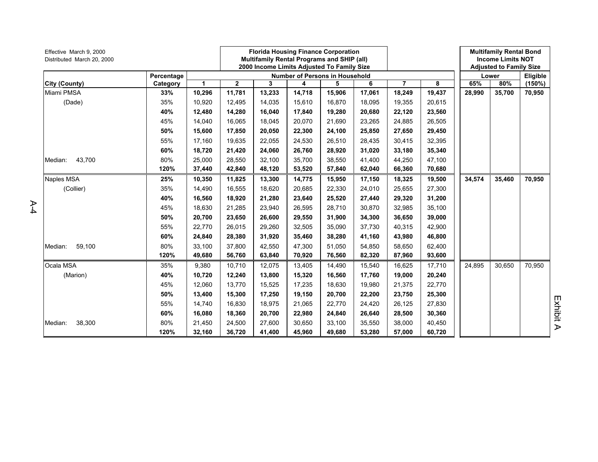| Effective March 9, 2000<br>Distributed March 20, 2000 |            |              |              | <b>Florida Housing Finance Corporation</b><br>Multifamily Rental Programs and SHIP (all)<br>2000 Income Limits Adjusted To Family Size |        |                                       |        |                |        |        | <b>Multifamily Rental Bond</b><br><b>Income Limits NOT</b><br><b>Adjusted to Family Size</b> |          |
|-------------------------------------------------------|------------|--------------|--------------|----------------------------------------------------------------------------------------------------------------------------------------|--------|---------------------------------------|--------|----------------|--------|--------|----------------------------------------------------------------------------------------------|----------|
|                                                       | Percentage |              |              |                                                                                                                                        |        | <b>Number of Persons in Household</b> |        |                |        |        | Lower                                                                                        | Eligible |
| City (County)                                         | Category   | $\mathbf{1}$ | $\mathbf{2}$ | 3                                                                                                                                      | 4      | 5                                     | 6      | $\overline{7}$ | 8      | 65%    | 80%                                                                                          | (150%)   |
| Miami PMSA                                            | 33%        | 10,296       | 11,781       | 13,233                                                                                                                                 | 14,718 | 15,906                                | 17,061 | 18,249         | 19,437 | 28,990 | 35,700                                                                                       | 70,950   |
| (Dade)                                                | 35%        | 10,920       | 12,495       | 14,035                                                                                                                                 | 15,610 | 16,870                                | 18,095 | 19,355         | 20,615 |        |                                                                                              |          |
|                                                       | 40%        | 12,480       | 14,280       | 16,040                                                                                                                                 | 17,840 | 19,280                                | 20,680 | 22,120         | 23,560 |        |                                                                                              |          |
|                                                       | 45%        | 14,040       | 16,065       | 18,045                                                                                                                                 | 20,070 | 21,690                                | 23,265 | 24,885         | 26,505 |        |                                                                                              |          |
|                                                       | 50%        | 15,600       | 17,850       | 20,050                                                                                                                                 | 22,300 | 24,100                                | 25,850 | 27,650         | 29,450 |        |                                                                                              |          |
|                                                       | 55%        | 17,160       | 19,635       | 22,055                                                                                                                                 | 24,530 | 26,510                                | 28,435 | 30,415         | 32,395 |        |                                                                                              |          |
|                                                       | 60%        | 18,720       | 21,420       | 24,060                                                                                                                                 | 26,760 | 28,920                                | 31,020 | 33,180         | 35,340 |        |                                                                                              |          |
| 43,700<br>Median:                                     | 80%        | 25,000       | 28,550       | 32,100                                                                                                                                 | 35,700 | 38,550                                | 41,400 | 44,250         | 47,100 |        |                                                                                              |          |
|                                                       | 120%       | 37,440       | 42,840       | 48,120                                                                                                                                 | 53,520 | 57,840                                | 62,040 | 66,360         | 70,680 |        |                                                                                              |          |
| Naples MSA                                            | 25%        | 10,350       | 11,825       | 13,300                                                                                                                                 | 14,775 | 15,950                                | 17,150 | 18,325         | 19,500 | 34,574 | 35,460                                                                                       | 70,950   |
| (Collier)                                             | 35%        | 14,490       | 16,555       | 18,620                                                                                                                                 | 20,685 | 22,330                                | 24,010 | 25,655         | 27,300 |        |                                                                                              |          |
|                                                       | 40%        | 16,560       | 18,920       | 21,280                                                                                                                                 | 23,640 | 25,520                                | 27,440 | 29,320         | 31,200 |        |                                                                                              |          |
|                                                       | 45%        | 18,630       | 21,285       | 23,940                                                                                                                                 | 26,595 | 28,710                                | 30,870 | 32,985         | 35,100 |        |                                                                                              |          |
|                                                       | 50%        | 20,700       | 23,650       | 26,600                                                                                                                                 | 29,550 | 31,900                                | 34,300 | 36,650         | 39,000 |        |                                                                                              |          |
|                                                       | 55%        | 22,770       | 26,015       | 29,260                                                                                                                                 | 32,505 | 35,090                                | 37,730 | 40,315         | 42,900 |        |                                                                                              |          |
|                                                       | 60%        | 24,840       | 28,380       | 31,920                                                                                                                                 | 35,460 | 38,280                                | 41,160 | 43,980         | 46,800 |        |                                                                                              |          |
| 59,100<br>Median:                                     | 80%        | 33,100       | 37,800       | 42,550                                                                                                                                 | 47,300 | 51,050                                | 54,850 | 58,650         | 62,400 |        |                                                                                              |          |
|                                                       | 120%       | 49,680       | 56,760       | 63,840                                                                                                                                 | 70,920 | 76,560                                | 82,320 | 87,960         | 93,600 |        |                                                                                              |          |
| Ocala MSA                                             | 35%        | 9,380        | 10,710       | 12,075                                                                                                                                 | 13,405 | 14,490                                | 15,540 | 16,625         | 17,710 | 24,895 | 30,650                                                                                       | 70,950   |
| (Marion)                                              | 40%        | 10,720       | 12,240       | 13,800                                                                                                                                 | 15,320 | 16,560                                | 17,760 | 19,000         | 20,240 |        |                                                                                              |          |
|                                                       | 45%        | 12,060       | 13,770       | 15,525                                                                                                                                 | 17,235 | 18,630                                | 19,980 | 21,375         | 22,770 |        |                                                                                              |          |
|                                                       | 50%        | 13,400       | 15,300       | 17,250                                                                                                                                 | 19,150 | 20,700                                | 22,200 | 23,750         | 25,300 |        |                                                                                              |          |
|                                                       | 55%        | 14.740       | 16,830       | 18,975                                                                                                                                 | 21,065 | 22,770                                | 24,420 | 26,125         | 27,830 |        |                                                                                              |          |
|                                                       | 60%        | 16,080       | 18,360       | 20,700                                                                                                                                 | 22,980 | 24,840                                | 26,640 | 28,500         | 30,360 |        |                                                                                              |          |
| 38,300<br>Median:                                     | 80%        | 21,450       | 24,500       | 27,600                                                                                                                                 | 30,650 | 33,100                                | 35,550 | 38,000         | 40,450 |        |                                                                                              |          |
|                                                       | 120%       | 32,160       | 36,720       | 41,400                                                                                                                                 | 45,960 | 49,680                                | 53,280 | 57,000         | 60,720 |        |                                                                                              |          |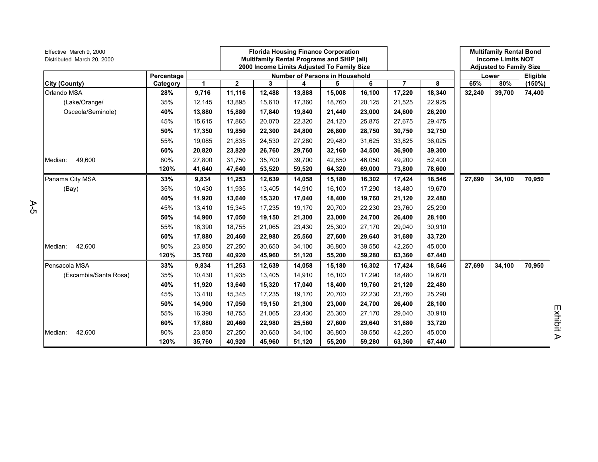| Effective March 9, 2000<br>Distributed March 20, 2000 |            |        |              |        |        | <b>Florida Housing Finance Corporation</b><br>Multifamily Rental Programs and SHIP (all)<br>2000 Income Limits Adjusted To Family Size |        |                |        |        | <b>Multifamily Rental Bond</b><br><b>Income Limits NOT</b><br><b>Adjusted to Family Size</b> |          |
|-------------------------------------------------------|------------|--------|--------------|--------|--------|----------------------------------------------------------------------------------------------------------------------------------------|--------|----------------|--------|--------|----------------------------------------------------------------------------------------------|----------|
|                                                       | Percentage |        |              |        |        | <b>Number of Persons in Household</b>                                                                                                  |        |                |        |        | Lower                                                                                        | Eligible |
| <b>City (County)</b>                                  | Category   | 1      | $\mathbf{2}$ | 3      | 4      | 5                                                                                                                                      | 6      | $\overline{7}$ | 8      | 65%    | 80%                                                                                          | (150%)   |
| Orlando MSA                                           | 28%        | 9,716  | 11,116       | 12,488 | 13,888 | 15,008                                                                                                                                 | 16,100 | 17,220         | 18,340 | 32,240 | 39,700                                                                                       | 74,400   |
| (Lake/Orange/                                         | 35%        | 12,145 | 13,895       | 15,610 | 17,360 | 18,760                                                                                                                                 | 20,125 | 21,525         | 22,925 |        |                                                                                              |          |
| Osceola/Seminole)                                     | 40%        | 13,880 | 15,880       | 17,840 | 19,840 | 21,440                                                                                                                                 | 23,000 | 24,600         | 26,200 |        |                                                                                              |          |
|                                                       | 45%        | 15,615 | 17,865       | 20,070 | 22,320 | 24,120                                                                                                                                 | 25,875 | 27,675         | 29,475 |        |                                                                                              |          |
|                                                       | 50%        | 17,350 | 19,850       | 22,300 | 24,800 | 26,800                                                                                                                                 | 28,750 | 30,750         | 32,750 |        |                                                                                              |          |
|                                                       | 55%        | 19,085 | 21,835       | 24,530 | 27,280 | 29,480                                                                                                                                 | 31,625 | 33,825         | 36,025 |        |                                                                                              |          |
|                                                       | 60%        | 20,820 | 23,820       | 26,760 | 29,760 | 32,160                                                                                                                                 | 34,500 | 36,900         | 39,300 |        |                                                                                              |          |
| Median:<br>49,600                                     | 80%        | 27,800 | 31,750       | 35,700 | 39,700 | 42,850                                                                                                                                 | 46,050 | 49,200         | 52,400 |        |                                                                                              |          |
|                                                       | 120%       | 41,640 | 47,640       | 53,520 | 59,520 | 64,320                                                                                                                                 | 69,000 | 73,800         | 78,600 |        |                                                                                              |          |
| Panama City MSA                                       | 33%        | 9,834  | 11,253       | 12,639 | 14,058 | 15,180                                                                                                                                 | 16,302 | 17,424         | 18,546 | 27,690 | 34,100                                                                                       | 70,950   |
| (Bay)                                                 | 35%        | 10,430 | 11,935       | 13,405 | 14,910 | 16,100                                                                                                                                 | 17,290 | 18,480         | 19,670 |        |                                                                                              |          |
|                                                       | 40%        | 11,920 | 13,640       | 15,320 | 17,040 | 18,400                                                                                                                                 | 19,760 | 21,120         | 22,480 |        |                                                                                              |          |
|                                                       | 45%        | 13,410 | 15,345       | 17,235 | 19,170 | 20,700                                                                                                                                 | 22,230 | 23,760         | 25,290 |        |                                                                                              |          |
|                                                       | 50%        | 14,900 | 17,050       | 19,150 | 21,300 | 23,000                                                                                                                                 | 24,700 | 26,400         | 28,100 |        |                                                                                              |          |
|                                                       | 55%        | 16,390 | 18,755       | 21,065 | 23,430 | 25,300                                                                                                                                 | 27,170 | 29,040         | 30,910 |        |                                                                                              |          |
|                                                       | 60%        | 17,880 | 20,460       | 22.980 | 25,560 | 27,600                                                                                                                                 | 29,640 | 31,680         | 33,720 |        |                                                                                              |          |
| 42,600<br>Median:                                     | 80%        | 23,850 | 27,250       | 30,650 | 34,100 | 36,800                                                                                                                                 | 39,550 | 42,250         | 45,000 |        |                                                                                              |          |
|                                                       | 120%       | 35,760 | 40,920       | 45,960 | 51,120 | 55,200                                                                                                                                 | 59,280 | 63,360         | 67,440 |        |                                                                                              |          |
| Pensacola MSA                                         | 33%        | 9,834  | 11,253       | 12,639 | 14,058 | 15,180                                                                                                                                 | 16,302 | 17,424         | 18,546 | 27,690 | 34,100                                                                                       | 70,950   |
| (Escambia/Santa Rosa)                                 | 35%        | 10,430 | 11,935       | 13,405 | 14,910 | 16,100                                                                                                                                 | 17,290 | 18,480         | 19,670 |        |                                                                                              |          |
|                                                       | 40%        | 11,920 | 13,640       | 15,320 | 17,040 | 18,400                                                                                                                                 | 19,760 | 21,120         | 22,480 |        |                                                                                              |          |
|                                                       | 45%        | 13,410 | 15,345       | 17.235 | 19,170 | 20,700                                                                                                                                 | 22,230 | 23,760         | 25,290 |        |                                                                                              |          |
|                                                       | 50%        | 14,900 | 17,050       | 19,150 | 21,300 | 23,000                                                                                                                                 | 24,700 | 26,400         | 28,100 |        |                                                                                              |          |
|                                                       | 55%        | 16,390 | 18,755       | 21,065 | 23,430 | 25,300                                                                                                                                 | 27,170 | 29,040         | 30,910 |        |                                                                                              |          |
|                                                       | 60%        | 17,880 | 20,460       | 22,980 | 25,560 | 27,600                                                                                                                                 | 29,640 | 31,680         | 33,720 |        |                                                                                              |          |
| 42,600<br>Median:                                     | 80%        | 23,850 | 27,250       | 30,650 | 34,100 | 36,800                                                                                                                                 | 39,550 | 42,250         | 45,000 |        |                                                                                              |          |
|                                                       | 120%       | 35,760 | 40,920       | 45,960 | 51,120 | 55,200                                                                                                                                 | 59,280 | 63,360         | 67,440 |        |                                                                                              |          |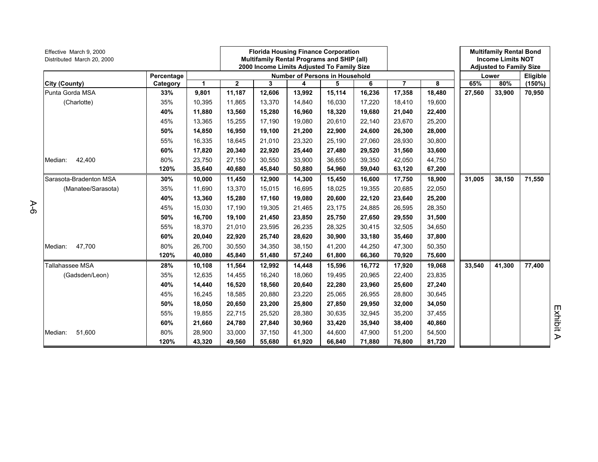| Effective March 9, 2000<br>Distributed March 20, 2000 |            |        |              |        |        | <b>Florida Housing Finance Corporation</b><br>Multifamily Rental Programs and SHIP (all)<br>2000 Income Limits Adjusted To Family Size |        |                |        |        | <b>Multifamily Rental Bond</b><br><b>Income Limits NOT</b><br><b>Adjusted to Family Size</b> |          |
|-------------------------------------------------------|------------|--------|--------------|--------|--------|----------------------------------------------------------------------------------------------------------------------------------------|--------|----------------|--------|--------|----------------------------------------------------------------------------------------------|----------|
|                                                       | Percentage |        |              |        |        | <b>Number of Persons in Household</b>                                                                                                  |        |                |        |        | Lower                                                                                        | Eligible |
| City (County)                                         | Category   | 1      | $\mathbf{2}$ | 3      | 4      | 5                                                                                                                                      | 6      | $\overline{7}$ | 8      | 65%    | 80%                                                                                          | (150%)   |
| Punta Gorda MSA                                       | 33%        | 9,801  | 11,187       | 12,606 | 13,992 | 15,114                                                                                                                                 | 16,236 | 17,358         | 18,480 | 27,560 | 33,900                                                                                       | 70,950   |
| (Charlotte)                                           | 35%        | 10,395 | 11,865       | 13,370 | 14,840 | 16,030                                                                                                                                 | 17,220 | 18,410         | 19,600 |        |                                                                                              |          |
|                                                       | 40%        | 11,880 | 13,560       | 15,280 | 16,960 | 18,320                                                                                                                                 | 19,680 | 21,040         | 22,400 |        |                                                                                              |          |
|                                                       | 45%        | 13,365 | 15,255       | 17.190 | 19,080 | 20,610                                                                                                                                 | 22,140 | 23,670         | 25,200 |        |                                                                                              |          |
|                                                       | 50%        | 14,850 | 16,950       | 19,100 | 21,200 | 22,900                                                                                                                                 | 24,600 | 26,300         | 28,000 |        |                                                                                              |          |
|                                                       | 55%        | 16,335 | 18,645       | 21,010 | 23,320 | 25,190                                                                                                                                 | 27,060 | 28,930         | 30,800 |        |                                                                                              |          |
|                                                       | 60%        | 17,820 | 20,340       | 22,920 | 25,440 | 27,480                                                                                                                                 | 29,520 | 31,560         | 33,600 |        |                                                                                              |          |
| 42,400<br>Median:                                     | 80%        | 23,750 | 27,150       | 30,550 | 33,900 | 36,650                                                                                                                                 | 39,350 | 42,050         | 44,750 |        |                                                                                              |          |
|                                                       | 120%       | 35,640 | 40,680       | 45,840 | 50,880 | 54,960                                                                                                                                 | 59,040 | 63,120         | 67,200 |        |                                                                                              |          |
| Sarasota-Bradenton MSA                                | 30%        | 10,000 | 11,450       | 12,900 | 14,300 | 15,450                                                                                                                                 | 16,600 | 17,750         | 18,900 | 31,005 | 38,150                                                                                       | 71,550   |
| (Manatee/Sarasota)                                    | 35%        | 11,690 | 13,370       | 15,015 | 16,695 | 18,025                                                                                                                                 | 19,355 | 20,685         | 22,050 |        |                                                                                              |          |
|                                                       | 40%        | 13,360 | 15,280       | 17,160 | 19,080 | 20,600                                                                                                                                 | 22,120 | 23,640         | 25,200 |        |                                                                                              |          |
|                                                       | 45%        | 15,030 | 17,190       | 19,305 | 21,465 | 23,175                                                                                                                                 | 24,885 | 26,595         | 28,350 |        |                                                                                              |          |
|                                                       | 50%        | 16,700 | 19,100       | 21,450 | 23,850 | 25,750                                                                                                                                 | 27,650 | 29,550         | 31,500 |        |                                                                                              |          |
|                                                       | 55%        | 18,370 | 21,010       | 23,595 | 26,235 | 28,325                                                                                                                                 | 30,415 | 32,505         | 34,650 |        |                                                                                              |          |
|                                                       | 60%        | 20,040 | 22,920       | 25,740 | 28,620 | 30,900                                                                                                                                 | 33,180 | 35,460         | 37,800 |        |                                                                                              |          |
| 47,700<br>Median:                                     | 80%        | 26,700 | 30,550       | 34,350 | 38,150 | 41,200                                                                                                                                 | 44,250 | 47,300         | 50,350 |        |                                                                                              |          |
|                                                       | 120%       | 40,080 | 45,840       | 51.480 | 57,240 | 61,800                                                                                                                                 | 66,360 | 70,920         | 75,600 |        |                                                                                              |          |
| Tallahassee MSA                                       | 28%        | 10,108 | 11,564       | 12,992 | 14,448 | 15,596                                                                                                                                 | 16,772 | 17,920         | 19,068 | 33,540 | 41,300                                                                                       | 77,400   |
| (Gadsden/Leon)                                        | 35%        | 12,635 | 14,455       | 16,240 | 18,060 | 19,495                                                                                                                                 | 20,965 | 22,400         | 23,835 |        |                                                                                              |          |
|                                                       | 40%        | 14,440 | 16,520       | 18,560 | 20,640 | 22,280                                                                                                                                 | 23,960 | 25,600         | 27,240 |        |                                                                                              |          |
|                                                       | 45%        | 16,245 | 18,585       | 20,880 | 23,220 | 25,065                                                                                                                                 | 26,955 | 28,800         | 30,645 |        |                                                                                              |          |
|                                                       | 50%        | 18,050 | 20,650       | 23,200 | 25,800 | 27,850                                                                                                                                 | 29,950 | 32,000         | 34,050 |        |                                                                                              |          |
|                                                       | 55%        | 19,855 | 22,715       | 25,520 | 28,380 | 30,635                                                                                                                                 | 32,945 | 35,200         | 37,455 |        |                                                                                              |          |
|                                                       | 60%        | 21,660 | 24,780       | 27,840 | 30,960 | 33,420                                                                                                                                 | 35,940 | 38,400         | 40,860 |        |                                                                                              |          |
| 51,600<br>Median:                                     | 80%        | 28,900 | 33,000       | 37,150 | 41,300 | 44,600                                                                                                                                 | 47,900 | 51,200         | 54,500 |        |                                                                                              |          |
|                                                       | 120%       | 43,320 | 49,560       | 55,680 | 61,920 | 66,840                                                                                                                                 | 71,880 | 76,800         | 81,720 |        |                                                                                              |          |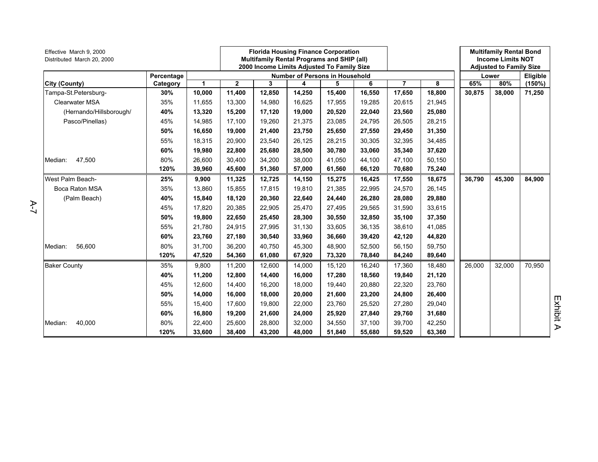| Effective March 9, 2000<br>Distributed March 20, 2000 |            |        |              | <b>Florida Housing Finance Corporation</b><br>Multifamily Rental Programs and SHIP (all)<br>2000 Income Limits Adjusted To Family Size |        |                                       |        |                |        |        | <b>Multifamily Rental Bond</b><br><b>Income Limits NOT</b><br><b>Adjusted to Family Size</b> |          |                  |
|-------------------------------------------------------|------------|--------|--------------|----------------------------------------------------------------------------------------------------------------------------------------|--------|---------------------------------------|--------|----------------|--------|--------|----------------------------------------------------------------------------------------------|----------|------------------|
|                                                       | Percentage |        |              |                                                                                                                                        |        | <b>Number of Persons in Household</b> |        |                |        |        | Lower                                                                                        | Eligible |                  |
| City (County)                                         | Category   | 1      | $\mathbf{2}$ | 3                                                                                                                                      | 4      | 5                                     | 6      | $\overline{7}$ | 8      | 65%    | 80%                                                                                          | (150%)   |                  |
| Tampa-St.Petersburg-                                  | 30%        | 10,000 | 11,400       | 12,850                                                                                                                                 | 14,250 | 15,400                                | 16,550 | 17,650         | 18,800 | 30,875 | 38,000                                                                                       | 71,250   |                  |
| <b>Clearwater MSA</b>                                 | 35%        | 11,655 | 13,300       | 14,980                                                                                                                                 | 16,625 | 17,955                                | 19,285 | 20,615         | 21,945 |        |                                                                                              |          |                  |
| (Hernando/Hillsborough/                               | 40%        | 13,320 | 15,200       | 17,120                                                                                                                                 | 19,000 | 20,520                                | 22,040 | 23,560         | 25,080 |        |                                                                                              |          |                  |
| Pasco/Pinellas)                                       | 45%        | 14,985 | 17,100       | 19,260                                                                                                                                 | 21,375 | 23,085                                | 24,795 | 26,505         | 28,215 |        |                                                                                              |          |                  |
|                                                       | 50%        | 16,650 | 19,000       | 21,400                                                                                                                                 | 23,750 | 25,650                                | 27,550 | 29,450         | 31,350 |        |                                                                                              |          |                  |
|                                                       | 55%        | 18,315 | 20,900       | 23,540                                                                                                                                 | 26,125 | 28,215                                | 30,305 | 32,395         | 34,485 |        |                                                                                              |          |                  |
|                                                       | 60%        | 19,980 | 22,800       | 25,680                                                                                                                                 | 28,500 | 30,780                                | 33,060 | 35,340         | 37,620 |        |                                                                                              |          |                  |
| 47,500<br>Median:                                     | 80%        | 26,600 | 30,400       | 34,200                                                                                                                                 | 38,000 | 41,050                                | 44,100 | 47,100         | 50,150 |        |                                                                                              |          |                  |
|                                                       | 120%       | 39,960 | 45,600       | 51,360                                                                                                                                 | 57,000 | 61,560                                | 66,120 | 70,680         | 75,240 |        |                                                                                              |          |                  |
| West Palm Beach-                                      | 25%        | 9,900  | 11,325       | 12,725                                                                                                                                 | 14,150 | 15,275                                | 16,425 | 17,550         | 18,675 | 36,790 | 45,300                                                                                       | 84,900   |                  |
| Boca Raton MSA                                        | 35%        | 13,860 | 15,855       | 17,815                                                                                                                                 | 19,810 | 21,385                                | 22,995 | 24,570         | 26,145 |        |                                                                                              |          |                  |
| (Palm Beach)                                          | 40%        | 15,840 | 18,120       | 20,360                                                                                                                                 | 22,640 | 24,440                                | 26,280 | 28,080         | 29,880 |        |                                                                                              |          |                  |
|                                                       | 45%        | 17,820 | 20,385       | 22,905                                                                                                                                 | 25,470 | 27,495                                | 29,565 | 31,590         | 33,615 |        |                                                                                              |          |                  |
|                                                       | 50%        | 19,800 | 22,650       | 25,450                                                                                                                                 | 28,300 | 30,550                                | 32,850 | 35,100         | 37,350 |        |                                                                                              |          |                  |
|                                                       | 55%        | 21,780 | 24,915       | 27,995                                                                                                                                 | 31,130 | 33,605                                | 36,135 | 38,610         | 41,085 |        |                                                                                              |          |                  |
|                                                       | 60%        | 23,760 | 27,180       | 30,540                                                                                                                                 | 33,960 | 36,660                                | 39,420 | 42,120         | 44,820 |        |                                                                                              |          |                  |
| 56,600<br>Median:                                     | 80%        | 31.700 | 36,200       | 40,750                                                                                                                                 | 45,300 | 48,900                                | 52,500 | 56,150         | 59,750 |        |                                                                                              |          |                  |
|                                                       | 120%       | 47,520 | 54,360       | 61,080                                                                                                                                 | 67,920 | 73,320                                | 78,840 | 84,240         | 89,640 |        |                                                                                              |          |                  |
| <b>Baker County</b>                                   | 35%        | 9,800  | 11,200       | 12,600                                                                                                                                 | 14,000 | 15,120                                | 16,240 | 17,360         | 18,480 | 26,000 | 32,000                                                                                       | 70,950   |                  |
|                                                       | 40%        | 11,200 | 12,800       | 14,400                                                                                                                                 | 16,000 | 17,280                                | 18,560 | 19,840         | 21,120 |        |                                                                                              |          |                  |
|                                                       | 45%        | 12.600 | 14,400       | 16,200                                                                                                                                 | 18.000 | 19,440                                | 20,880 | 22,320         | 23,760 |        |                                                                                              |          |                  |
|                                                       | 50%        | 14,000 | 16,000       | 18,000                                                                                                                                 | 20,000 | 21,600                                | 23,200 | 24,800         | 26,400 |        |                                                                                              |          |                  |
|                                                       | 55%        | 15.400 | 17,600       | 19,800                                                                                                                                 | 22.000 | 23,760                                | 25,520 | 27,280         | 29,040 |        |                                                                                              |          | Exhibit          |
|                                                       | 60%        | 16,800 | 19,200       | 21,600                                                                                                                                 | 24,000 | 25,920                                | 27,840 | 29,760         | 31,680 |        |                                                                                              |          |                  |
| 40,000<br>Median:                                     | 80%        | 22,400 | 25,600       | 28,800                                                                                                                                 | 32,000 | 34,550                                | 37,100 | 39,700         | 42,250 |        |                                                                                              |          |                  |
|                                                       | 120%       | 33,600 | 38,400       | 43,200                                                                                                                                 | 48,000 | 51,840                                | 55,680 | 59,520         | 63,360 |        |                                                                                              |          | $\triangleright$ |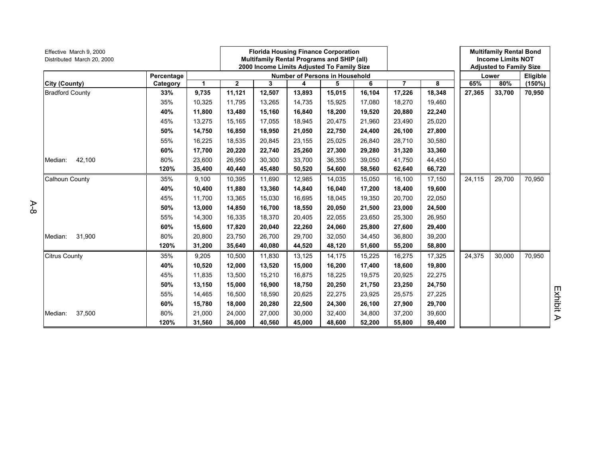| Effective March 9, 2000<br>Distributed March 20, 2000 | Percentage |              |              |        |        | <b>Florida Housing Finance Corporation</b><br><b>Multifamily Rental Programs and SHIP (all)</b><br>2000 Income Limits Adjusted To Family Size |        |                |        |        | <b>Multifamily Rental Bond</b><br><b>Income Limits NOT</b><br><b>Adjusted to Family Size</b> |           |
|-------------------------------------------------------|------------|--------------|--------------|--------|--------|-----------------------------------------------------------------------------------------------------------------------------------------------|--------|----------------|--------|--------|----------------------------------------------------------------------------------------------|-----------|
|                                                       |            |              |              |        |        | <b>Number of Persons in Household</b>                                                                                                         |        |                |        |        | Lower                                                                                        | Eligible  |
| City (County)                                         | Category   | $\mathbf{1}$ | $\mathbf{2}$ | 3      | 4      | 5                                                                                                                                             | 6      | $\overline{7}$ | 8      | 65%    | 80%                                                                                          | $(150\%)$ |
| <b>Bradford County</b>                                | 33%        | 9,735        | 11,121       | 12,507 | 13,893 | 15,015                                                                                                                                        | 16,104 | 17,226         | 18,348 | 27,365 | 33,700                                                                                       | 70,950    |
|                                                       | 35%        | 10,325       | 11,795       | 13,265 | 14,735 | 15,925                                                                                                                                        | 17.080 | 18,270         | 19,460 |        |                                                                                              |           |
|                                                       | 40%        | 11,800       | 13,480       | 15,160 | 16,840 | 18,200                                                                                                                                        | 19,520 | 20,880         | 22,240 |        |                                                                                              |           |
|                                                       | 45%        | 13,275       | 15,165       | 17,055 | 18,945 | 20,475                                                                                                                                        | 21,960 | 23,490         | 25,020 |        |                                                                                              |           |
|                                                       | 50%        | 14,750       | 16,850       | 18,950 | 21,050 | 22,750                                                                                                                                        | 24.400 | 26,100         | 27,800 |        |                                                                                              |           |
|                                                       | 55%        | 16,225       | 18,535       | 20,845 | 23,155 | 25,025                                                                                                                                        | 26,840 | 28,710         | 30,580 |        |                                                                                              |           |
|                                                       | 60%        | 17,700       | 20,220       | 22,740 | 25,260 | 27,300                                                                                                                                        | 29,280 | 31,320         | 33,360 |        |                                                                                              |           |
| 42,100<br>Median:                                     | 80%        | 23,600       | 26,950       | 30,300 | 33,700 | 36,350                                                                                                                                        | 39,050 | 41,750         | 44,450 |        |                                                                                              |           |
|                                                       | 120%       | 35,400       | 40,440       | 45,480 | 50,520 | 54,600                                                                                                                                        | 58,560 | 62,640         | 66,720 |        |                                                                                              |           |
| <b>Calhoun County</b>                                 | 35%        | 9,100        | 10,395       | 11,690 | 12,985 | 14,035                                                                                                                                        | 15,050 | 16,100         | 17,150 | 24,115 | 29,700                                                                                       | 70,950    |
|                                                       | 40%        | 10,400       | 11,880       | 13,360 | 14,840 | 16,040                                                                                                                                        | 17,200 | 18,400         | 19,600 |        |                                                                                              |           |
|                                                       | 45%        | 11,700       | 13,365       | 15,030 | 16,695 | 18,045                                                                                                                                        | 19,350 | 20,700         | 22,050 |        |                                                                                              |           |
|                                                       | 50%        | 13,000       | 14,850       | 16,700 | 18,550 | 20,050                                                                                                                                        | 21,500 | 23,000         | 24,500 |        |                                                                                              |           |
|                                                       | 55%        | 14,300       | 16,335       | 18,370 | 20,405 | 22,055                                                                                                                                        | 23,650 | 25,300         | 26,950 |        |                                                                                              |           |
|                                                       | 60%        | 15,600       | 17,820       | 20,040 | 22,260 | 24,060                                                                                                                                        | 25,800 | 27,600         | 29,400 |        |                                                                                              |           |
| 31,900<br>Median:                                     | 80%        | 20,800       | 23,750       | 26,700 | 29,700 | 32,050                                                                                                                                        | 34,450 | 36,800         | 39,200 |        |                                                                                              |           |
|                                                       | 120%       | 31,200       | 35,640       | 40,080 | 44,520 | 48,120                                                                                                                                        | 51,600 | 55,200         | 58,800 |        |                                                                                              |           |
| <b>Citrus County</b>                                  | 35%        | 9,205        | 10,500       | 11,830 | 13,125 | 14,175                                                                                                                                        | 15,225 | 16,275         | 17,325 | 24,375 | 30,000                                                                                       | 70,950    |
|                                                       | 40%        | 10,520       | 12,000       | 13,520 | 15,000 | 16,200                                                                                                                                        | 17,400 | 18,600         | 19,800 |        |                                                                                              |           |
|                                                       | 45%        | 11,835       | 13,500       | 15,210 | 16,875 | 18,225                                                                                                                                        | 19,575 | 20,925         | 22,275 |        |                                                                                              |           |
|                                                       | 50%        | 13,150       | 15,000       | 16,900 | 18,750 | 20,250                                                                                                                                        | 21,750 | 23,250         | 24,750 |        |                                                                                              |           |
|                                                       | 55%        | 14,465       | 16,500       | 18,590 | 20,625 | 22,275                                                                                                                                        | 23,925 | 25,575         | 27,225 |        |                                                                                              |           |
|                                                       | 60%        | 15,780       | 18,000       | 20,280 | 22,500 | 24,300                                                                                                                                        | 26,100 | 27,900         | 29,700 |        |                                                                                              |           |
| 37,500<br>Median:                                     | 80%        | 21,000       | 24,000       | 27,000 | 30,000 | 32,400                                                                                                                                        | 34,800 | 37,200         | 39,600 |        |                                                                                              |           |
|                                                       | 120%       | 31,560       | 36,000       | 40,560 | 45,000 | 48,600                                                                                                                                        | 52,200 | 55,800         | 59,400 |        |                                                                                              |           |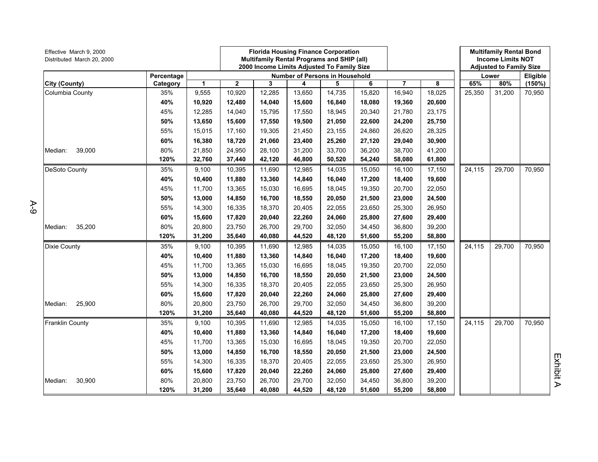| Effective March 9, 2000<br>Distributed March 20, 2000 |            |        |        | <b>Florida Housing Finance Corporation</b><br>Multifamily Rental Programs and SHIP (all)<br>2000 Income Limits Adjusted To Family Size |                                       |        |        |        |        | <b>Multifamily Rental Bond</b><br><b>Income Limits NOT</b><br><b>Adjusted to Family Size</b> |        |          |
|-------------------------------------------------------|------------|--------|--------|----------------------------------------------------------------------------------------------------------------------------------------|---------------------------------------|--------|--------|--------|--------|----------------------------------------------------------------------------------------------|--------|----------|
|                                                       | Percentage |        |        |                                                                                                                                        | <b>Number of Persons in Household</b> |        |        |        |        |                                                                                              | Lower  | Eligible |
| City (County)                                         | Category   | 1      | 2      | 3                                                                                                                                      | 4                                     | 5      | 6      | 7      | 8      | 65%                                                                                          | 80%    | (150%)   |
| Columbia County                                       | 35%        | 9,555  | 10,920 | 12,285                                                                                                                                 | 13,650                                | 14,735 | 15,820 | 16,940 | 18,025 | 25,350                                                                                       | 31,200 | 70,950   |
|                                                       | 40%        | 10,920 | 12,480 | 14,040                                                                                                                                 | 15,600                                | 16,840 | 18,080 | 19,360 | 20,600 |                                                                                              |        |          |
|                                                       | 45%        | 12,285 | 14,040 | 15,795                                                                                                                                 | 17,550                                | 18,945 | 20,340 | 21,780 | 23,175 |                                                                                              |        |          |
|                                                       | 50%        | 13,650 | 15,600 | 17,550                                                                                                                                 | 19,500                                | 21,050 | 22,600 | 24,200 | 25,750 |                                                                                              |        |          |
|                                                       | 55%        | 15,015 | 17,160 | 19,305                                                                                                                                 | 21,450                                | 23,155 | 24,860 | 26,620 | 28,325 |                                                                                              |        |          |
|                                                       | 60%        | 16,380 | 18,720 | 21,060                                                                                                                                 | 23,400                                | 25,260 | 27,120 | 29,040 | 30,900 |                                                                                              |        |          |
| 39,000<br>Median:                                     | 80%        | 21,850 | 24,950 | 28,100                                                                                                                                 | 31,200                                | 33,700 | 36,200 | 38,700 | 41,200 |                                                                                              |        |          |
|                                                       | 120%       | 32,760 | 37,440 | 42,120                                                                                                                                 | 46,800                                | 50,520 | 54,240 | 58,080 | 61,800 |                                                                                              |        |          |
| DeSoto County                                         | 35%        | 9,100  | 10,395 | 11,690                                                                                                                                 | 12,985                                | 14,035 | 15,050 | 16,100 | 17,150 | 24,115                                                                                       | 29,700 | 70,950   |
|                                                       | 40%        | 10,400 | 11,880 | 13,360                                                                                                                                 | 14,840                                | 16,040 | 17,200 | 18,400 | 19,600 |                                                                                              |        |          |
|                                                       | 45%        | 11,700 | 13,365 | 15,030                                                                                                                                 | 16,695                                | 18,045 | 19,350 | 20,700 | 22,050 |                                                                                              |        |          |
|                                                       | 50%        | 13,000 | 14,850 | 16,700                                                                                                                                 | 18,550                                | 20,050 | 21,500 | 23,000 | 24,500 |                                                                                              |        |          |
|                                                       | 55%        | 14,300 | 16,335 | 18,370                                                                                                                                 | 20,405                                | 22,055 | 23,650 | 25,300 | 26,950 |                                                                                              |        |          |
|                                                       | 60%        | 15,600 | 17,820 | 20,040                                                                                                                                 | 22,260                                | 24,060 | 25,800 | 27,600 | 29,400 |                                                                                              |        |          |
| 35,200<br>Median:                                     | 80%        | 20,800 | 23,750 | 26,700                                                                                                                                 | 29,700                                | 32,050 | 34,450 | 36,800 | 39,200 |                                                                                              |        |          |
|                                                       | 120%       | 31,200 | 35,640 | 40,080                                                                                                                                 | 44,520                                | 48,120 | 51,600 | 55,200 | 58,800 |                                                                                              |        |          |
| <b>Dixie County</b>                                   | 35%        | 9,100  | 10,395 | 11,690                                                                                                                                 | 12,985                                | 14,035 | 15,050 | 16,100 | 17,150 | 24,115                                                                                       | 29,700 | 70,950   |
|                                                       | 40%        | 10,400 | 11,880 | 13,360                                                                                                                                 | 14,840                                | 16,040 | 17,200 | 18,400 | 19,600 |                                                                                              |        |          |
|                                                       | 45%        | 11,700 | 13,365 | 15,030                                                                                                                                 | 16,695                                | 18,045 | 19,350 | 20,700 | 22,050 |                                                                                              |        |          |
|                                                       | 50%        | 13,000 | 14,850 | 16,700                                                                                                                                 | 18,550                                | 20,050 | 21,500 | 23,000 | 24,500 |                                                                                              |        |          |
|                                                       | 55%        | 14,300 | 16,335 | 18,370                                                                                                                                 | 20,405                                | 22,055 | 23,650 | 25,300 | 26,950 |                                                                                              |        |          |
|                                                       | 60%        | 15,600 | 17,820 | 20,040                                                                                                                                 | 22,260                                | 24,060 | 25,800 | 27,600 | 29,400 |                                                                                              |        |          |
| 25,900<br>Median:                                     | 80%        | 20,800 | 23,750 | 26,700                                                                                                                                 | 29,700                                | 32,050 | 34,450 | 36,800 | 39,200 |                                                                                              |        |          |
|                                                       | 120%       | 31,200 | 35,640 | 40,080                                                                                                                                 | 44,520                                | 48,120 | 51,600 | 55,200 | 58,800 |                                                                                              |        |          |
| Franklin County                                       | 35%        | 9,100  | 10,395 | 11,690                                                                                                                                 | 12,985                                | 14,035 | 15,050 | 16,100 | 17,150 | 24,115                                                                                       | 29,700 | 70,950   |
|                                                       | 40%        | 10,400 | 11,880 | 13,360                                                                                                                                 | 14,840                                | 16,040 | 17,200 | 18,400 | 19,600 |                                                                                              |        |          |
|                                                       | 45%        | 11,700 | 13,365 | 15,030                                                                                                                                 | 16,695                                | 18,045 | 19,350 | 20,700 | 22,050 |                                                                                              |        |          |
|                                                       | 50%        | 13,000 | 14,850 | 16,700                                                                                                                                 | 18,550                                | 20,050 | 21,500 | 23,000 | 24,500 |                                                                                              |        |          |
|                                                       | 55%        | 14,300 | 16,335 | 18,370                                                                                                                                 | 20,405                                | 22,055 | 23,650 | 25,300 | 26,950 |                                                                                              |        |          |
|                                                       | 60%        | 15,600 | 17,820 | 20,040                                                                                                                                 | 22,260                                | 24,060 | 25,800 | 27,600 | 29,400 |                                                                                              |        |          |
| 30,900<br>Median:                                     | 80%        | 20,800 | 23,750 | 26,700                                                                                                                                 | 29,700                                | 32,050 | 34,450 | 36,800 | 39,200 |                                                                                              |        |          |
|                                                       | 120%       | 31,200 | 35,640 | 40,080                                                                                                                                 | 44,520                                | 48,120 | 51,600 | 55,200 | 58,800 |                                                                                              |        |          |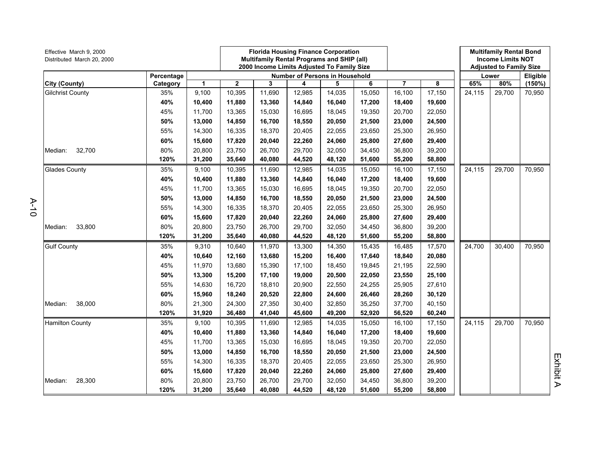| Effective March 9, 2000<br>Distributed March 20, 2000 |            |        | <b>Florida Housing Finance Corporation</b><br>Multifamily Rental Programs and SHIP (all)<br>2000 Income Limits Adjusted To Family Size |        |        |                                       |        |                |        | <b>Multifamily Rental Bond</b><br><b>Income Limits NOT</b><br><b>Adjusted to Family Size</b> |        |          |
|-------------------------------------------------------|------------|--------|----------------------------------------------------------------------------------------------------------------------------------------|--------|--------|---------------------------------------|--------|----------------|--------|----------------------------------------------------------------------------------------------|--------|----------|
|                                                       | Percentage |        |                                                                                                                                        |        |        | <b>Number of Persons in Household</b> |        |                |        |                                                                                              | Lower  | Eligible |
| City (County)                                         | Category   | 1      | 2                                                                                                                                      | 3      | 4      | 5                                     | 6      | $\overline{7}$ | 8      | 65%                                                                                          | 80%    | (150%)   |
| <b>Gilchrist County</b>                               | 35%        | 9,100  | 10,395                                                                                                                                 | 11,690 | 12,985 | 14,035                                | 15,050 | 16,100         | 17,150 | 24,115                                                                                       | 29,700 | 70,950   |
|                                                       | 40%        | 10,400 | 11,880                                                                                                                                 | 13,360 | 14,840 | 16,040                                | 17,200 | 18,400         | 19,600 |                                                                                              |        |          |
|                                                       | 45%        | 11,700 | 13,365                                                                                                                                 | 15,030 | 16,695 | 18,045                                | 19,350 | 20,700         | 22,050 |                                                                                              |        |          |
|                                                       | 50%        | 13,000 | 14,850                                                                                                                                 | 16,700 | 18,550 | 20,050                                | 21,500 | 23,000         | 24,500 |                                                                                              |        |          |
|                                                       | 55%        | 14,300 | 16,335                                                                                                                                 | 18,370 | 20,405 | 22,055                                | 23,650 | 25,300         | 26,950 |                                                                                              |        |          |
|                                                       | 60%        | 15,600 | 17,820                                                                                                                                 | 20,040 | 22,260 | 24,060                                | 25,800 | 27,600         | 29,400 |                                                                                              |        |          |
| 32,700<br>Median:                                     | 80%        | 20,800 | 23,750                                                                                                                                 | 26,700 | 29,700 | 32,050                                | 34,450 | 36,800         | 39,200 |                                                                                              |        |          |
|                                                       | 120%       | 31,200 | 35,640                                                                                                                                 | 40,080 | 44,520 | 48,120                                | 51,600 | 55,200         | 58,800 |                                                                                              |        |          |
| <b>Glades County</b>                                  | 35%        | 9,100  | 10,395                                                                                                                                 | 11,690 | 12,985 | 14,035                                | 15,050 | 16,100         | 17,150 | 24,115                                                                                       | 29,700 | 70,950   |
|                                                       | 40%        | 10,400 | 11,880                                                                                                                                 | 13,360 | 14,840 | 16,040                                | 17,200 | 18,400         | 19,600 |                                                                                              |        |          |
|                                                       | 45%        | 11,700 | 13,365                                                                                                                                 | 15,030 | 16,695 | 18,045                                | 19,350 | 20,700         | 22,050 |                                                                                              |        |          |
|                                                       | 50%        | 13,000 | 14,850                                                                                                                                 | 16,700 | 18,550 | 20,050                                | 21,500 | 23,000         | 24,500 |                                                                                              |        |          |
|                                                       | 55%        | 14,300 | 16,335                                                                                                                                 | 18,370 | 20,405 | 22,055                                | 23,650 | 25,300         | 26,950 |                                                                                              |        |          |
|                                                       | 60%        | 15,600 | 17,820                                                                                                                                 | 20,040 | 22,260 | 24,060                                | 25,800 | 27,600         | 29,400 |                                                                                              |        |          |
| 33,800<br>Median:                                     | 80%        | 20,800 | 23,750                                                                                                                                 | 26,700 | 29,700 | 32,050                                | 34,450 | 36,800         | 39,200 |                                                                                              |        |          |
|                                                       | 120%       | 31,200 | 35,640                                                                                                                                 | 40,080 | 44,520 | 48,120                                | 51,600 | 55,200         | 58,800 |                                                                                              |        |          |
| <b>Gulf County</b>                                    | 35%        | 9,310  | 10,640                                                                                                                                 | 11,970 | 13,300 | 14,350                                | 15,435 | 16,485         | 17,570 | 24,700                                                                                       | 30,400 | 70,950   |
|                                                       | 40%        | 10,640 | 12,160                                                                                                                                 | 13,680 | 15,200 | 16,400                                | 17,640 | 18,840         | 20,080 |                                                                                              |        |          |
|                                                       | 45%        | 11,970 | 13,680                                                                                                                                 | 15,390 | 17,100 | 18,450                                | 19,845 | 21,195         | 22,590 |                                                                                              |        |          |
|                                                       | 50%        | 13,300 | 15,200                                                                                                                                 | 17,100 | 19,000 | 20,500                                | 22,050 | 23,550         | 25,100 |                                                                                              |        |          |
|                                                       | 55%        | 14,630 | 16,720                                                                                                                                 | 18,810 | 20,900 | 22,550                                | 24,255 | 25,905         | 27,610 |                                                                                              |        |          |
|                                                       | 60%        | 15,960 | 18,240                                                                                                                                 | 20,520 | 22,800 | 24,600                                | 26,460 | 28,260         | 30,120 |                                                                                              |        |          |
| 38,000<br>Median:                                     | 80%        | 21,300 | 24,300                                                                                                                                 | 27,350 | 30,400 | 32,850                                | 35,250 | 37,700         | 40,150 |                                                                                              |        |          |
|                                                       | 120%       | 31,920 | 36,480                                                                                                                                 | 41,040 | 45,600 | 49,200                                | 52,920 | 56,520         | 60,240 |                                                                                              |        |          |
| <b>Hamilton County</b>                                | 35%        | 9,100  | 10,395                                                                                                                                 | 11,690 | 12,985 | 14,035                                | 15,050 | 16,100         | 17,150 | 24,115                                                                                       | 29,700 | 70,950   |
|                                                       | 40%        | 10,400 | 11,880                                                                                                                                 | 13,360 | 14,840 | 16,040                                | 17,200 | 18,400         | 19,600 |                                                                                              |        |          |
|                                                       | 45%        | 11,700 | 13,365                                                                                                                                 | 15,030 | 16,695 | 18,045                                | 19,350 | 20,700         | 22,050 |                                                                                              |        |          |
|                                                       | 50%        | 13,000 | 14,850                                                                                                                                 | 16,700 | 18,550 | 20,050                                | 21,500 | 23,000         | 24,500 |                                                                                              |        |          |
|                                                       | 55%        | 14,300 | 16,335                                                                                                                                 | 18,370 | 20,405 | 22,055                                | 23,650 | 25,300         | 26,950 |                                                                                              |        |          |
|                                                       | 60%        | 15,600 | 17,820                                                                                                                                 | 20,040 | 22,260 | 24,060                                | 25,800 | 27,600         | 29,400 |                                                                                              |        |          |
| 28,300<br>Median:                                     | 80%        | 20,800 | 23,750                                                                                                                                 | 26,700 | 29,700 | 32,050                                | 34,450 | 36,800         | 39,200 |                                                                                              |        |          |
|                                                       | 120%       | 31,200 | 35,640                                                                                                                                 | 40,080 | 44,520 | 48,120                                | 51,600 | 55,200         | 58,800 |                                                                                              |        |          |

A-10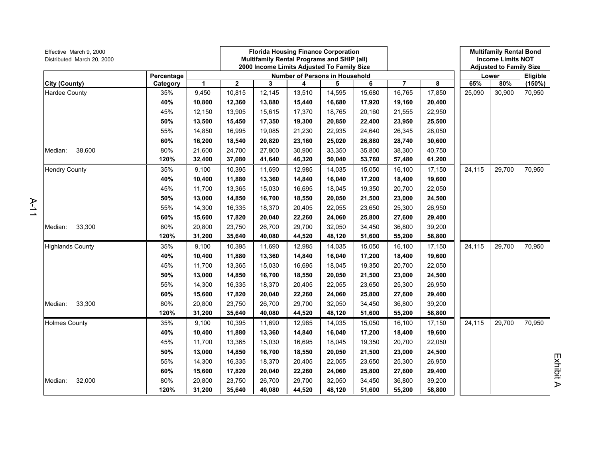| Effective March 9, 2000<br>Distributed March 20, 2000 |            |        |             | <b>Florida Housing Finance Corporation</b><br><b>Multifamily Rental Programs and SHIP (all)</b><br>2000 Income Limits Adjusted To Family Size |                                       |        |        |        |        | <b>Multifamily Rental Bond</b><br><b>Income Limits NOT</b><br><b>Adjusted to Family Size</b> |        |                 |
|-------------------------------------------------------|------------|--------|-------------|-----------------------------------------------------------------------------------------------------------------------------------------------|---------------------------------------|--------|--------|--------|--------|----------------------------------------------------------------------------------------------|--------|-----------------|
|                                                       | Percentage |        |             |                                                                                                                                               | <b>Number of Persons in Household</b> |        |        |        |        |                                                                                              | Lower  | <b>Eligible</b> |
| City (County)                                         | Category   | 1      | $\mathbf 2$ | 3                                                                                                                                             | 4                                     | 5      | 6      | 7      | 8      | 65%                                                                                          | 80%    | (150%)          |
| Hardee County                                         | 35%        | 9,450  | 10,815      | 12,145                                                                                                                                        | 13,510                                | 14,595 | 15,680 | 16,765 | 17,850 | 25,090                                                                                       | 30,900 | 70,950          |
|                                                       | 40%        | 10,800 | 12,360      | 13,880                                                                                                                                        | 15,440                                | 16,680 | 17,920 | 19,160 | 20,400 |                                                                                              |        |                 |
|                                                       | 45%        | 12,150 | 13,905      | 15,615                                                                                                                                        | 17,370                                | 18,765 | 20,160 | 21,555 | 22,950 |                                                                                              |        |                 |
|                                                       | 50%        | 13,500 | 15,450      | 17,350                                                                                                                                        | 19,300                                | 20,850 | 22,400 | 23,950 | 25,500 |                                                                                              |        |                 |
|                                                       | 55%        | 14,850 | 16,995      | 19,085                                                                                                                                        | 21,230                                | 22,935 | 24,640 | 26,345 | 28,050 |                                                                                              |        |                 |
|                                                       | 60%        | 16,200 | 18,540      | 20,820                                                                                                                                        | 23,160                                | 25,020 | 26,880 | 28,740 | 30,600 |                                                                                              |        |                 |
| 38,600<br>Median:                                     | 80%        | 21,600 | 24,700      | 27,800                                                                                                                                        | 30,900                                | 33,350 | 35,800 | 38,300 | 40,750 |                                                                                              |        |                 |
|                                                       | 120%       | 32,400 | 37,080      | 41,640                                                                                                                                        | 46,320                                | 50,040 | 53,760 | 57,480 | 61,200 |                                                                                              |        |                 |
| <b>Hendry County</b>                                  | 35%        | 9,100  | 10,395      | 11,690                                                                                                                                        | 12,985                                | 14,035 | 15,050 | 16,100 | 17,150 | 24,115                                                                                       | 29,700 | 70,950          |
|                                                       | 40%        | 10,400 | 11,880      | 13,360                                                                                                                                        | 14,840                                | 16,040 | 17,200 | 18,400 | 19,600 |                                                                                              |        |                 |
|                                                       | 45%        | 11,700 | 13,365      | 15,030                                                                                                                                        | 16,695                                | 18,045 | 19,350 | 20,700 | 22,050 |                                                                                              |        |                 |
|                                                       | 50%        | 13,000 | 14,850      | 16,700                                                                                                                                        | 18,550                                | 20,050 | 21,500 | 23,000 | 24,500 |                                                                                              |        |                 |
|                                                       | 55%        | 14,300 | 16,335      | 18,370                                                                                                                                        | 20,405                                | 22,055 | 23,650 | 25,300 | 26,950 |                                                                                              |        |                 |
|                                                       | 60%        | 15,600 | 17,820      | 20,040                                                                                                                                        | 22,260                                | 24,060 | 25,800 | 27,600 | 29,400 |                                                                                              |        |                 |
| 33,300<br>Median:                                     | 80%        | 20,800 | 23,750      | 26,700                                                                                                                                        | 29,700                                | 32,050 | 34,450 | 36,800 | 39,200 |                                                                                              |        |                 |
|                                                       | 120%       | 31,200 | 35,640      | 40,080                                                                                                                                        | 44,520                                | 48,120 | 51,600 | 55,200 | 58,800 |                                                                                              |        |                 |
| <b>Highlands County</b>                               | 35%        | 9,100  | 10,395      | 11,690                                                                                                                                        | 12,985                                | 14,035 | 15,050 | 16,100 | 17,150 | 24,115                                                                                       | 29,700 | 70,950          |
|                                                       | 40%        | 10,400 | 11,880      | 13,360                                                                                                                                        | 14,840                                | 16,040 | 17,200 | 18,400 | 19,600 |                                                                                              |        |                 |
|                                                       | 45%        | 11,700 | 13,365      | 15,030                                                                                                                                        | 16,695                                | 18,045 | 19,350 | 20,700 | 22,050 |                                                                                              |        |                 |
|                                                       | 50%        | 13,000 | 14,850      | 16,700                                                                                                                                        | 18,550                                | 20,050 | 21,500 | 23,000 | 24,500 |                                                                                              |        |                 |
|                                                       | 55%        | 14,300 | 16,335      | 18,370                                                                                                                                        | 20,405                                | 22,055 | 23,650 | 25,300 | 26,950 |                                                                                              |        |                 |
|                                                       | 60%        | 15,600 | 17,820      | 20,040                                                                                                                                        | 22,260                                | 24,060 | 25,800 | 27,600 | 29,400 |                                                                                              |        |                 |
| 33,300<br>Median:                                     | 80%        | 20,800 | 23,750      | 26,700                                                                                                                                        | 29,700                                | 32,050 | 34,450 | 36,800 | 39,200 |                                                                                              |        |                 |
|                                                       | 120%       | 31,200 | 35,640      | 40,080                                                                                                                                        | 44,520                                | 48,120 | 51,600 | 55,200 | 58,800 |                                                                                              |        |                 |
| <b>Holmes County</b>                                  | 35%        | 9,100  | 10,395      | 11,690                                                                                                                                        | 12,985                                | 14,035 | 15,050 | 16,100 | 17,150 | 24,115                                                                                       | 29,700 | 70,950          |
|                                                       | 40%        | 10,400 | 11,880      | 13,360                                                                                                                                        | 14,840                                | 16,040 | 17,200 | 18,400 | 19,600 |                                                                                              |        |                 |
|                                                       | 45%        | 11,700 | 13,365      | 15,030                                                                                                                                        | 16,695                                | 18,045 | 19,350 | 20,700 | 22,050 |                                                                                              |        |                 |
|                                                       | 50%        | 13,000 | 14,850      | 16,700                                                                                                                                        | 18,550                                | 20,050 | 21,500 | 23,000 | 24,500 |                                                                                              |        |                 |
|                                                       | 55%        | 14,300 | 16,335      | 18,370                                                                                                                                        | 20,405                                | 22,055 | 23,650 | 25,300 | 26,950 |                                                                                              |        |                 |
|                                                       | 60%        | 15,600 | 17,820      | 20,040                                                                                                                                        | 22,260                                | 24,060 | 25,800 | 27,600 | 29,400 |                                                                                              |        |                 |
| 32,000<br>Median:                                     | 80%        | 20,800 | 23,750      | 26,700                                                                                                                                        | 29,700                                | 32,050 | 34,450 | 36,800 | 39,200 |                                                                                              |        |                 |
|                                                       | 120%       | 31,200 | 35,640      | 40,080                                                                                                                                        | 44,520                                | 48,120 | 51,600 | 55,200 | 58,800 |                                                                                              |        |                 |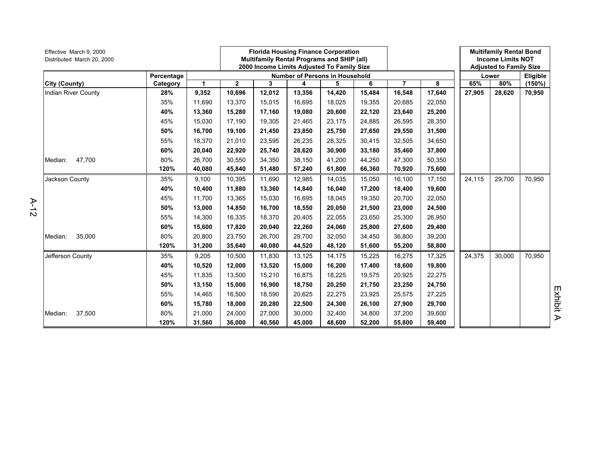| Effective March 9, 2000<br>Distributed March 20, 2000 |            |        |              | <b>Florida Housing Finance Corporation</b><br><b>Multifamily Rental Programs and SHIP (all)</b><br>2000 Income Limits Adjusted To Family Size |        |                                       |        |                |        |        | <b>Multifamily Rental Bond</b><br><b>Income Limits NOT</b><br><b>Adjusted to Family Size</b> |          |
|-------------------------------------------------------|------------|--------|--------------|-----------------------------------------------------------------------------------------------------------------------------------------------|--------|---------------------------------------|--------|----------------|--------|--------|----------------------------------------------------------------------------------------------|----------|
|                                                       | Percentage |        |              |                                                                                                                                               |        | <b>Number of Persons in Household</b> |        |                |        |        | Lower                                                                                        | Eligible |
| City (County)                                         | Category   | 1      | $\mathbf{2}$ | 3                                                                                                                                             | 4      | 5                                     | 6      | $\overline{7}$ | 8      | 65%    | 80%                                                                                          | (150%)   |
| Indian River County                                   | 28%        | 9,352  | 10,696       | 12,012                                                                                                                                        | 13,356 | 14,420                                | 15,484 | 16,548         | 17,640 | 27,905 | 28,620                                                                                       | 70,950   |
|                                                       | 35%        | 11,690 | 13,370       | 15,015                                                                                                                                        | 16,695 | 18,025                                | 19,355 | 20,685         | 22,050 |        |                                                                                              |          |
|                                                       | 40%        | 13,360 | 15,280       | 17,160                                                                                                                                        | 19,080 | 20,600                                | 22,120 | 23,640         | 25,200 |        |                                                                                              |          |
|                                                       | 45%        | 15,030 | 17,190       | 19,305                                                                                                                                        | 21,465 | 23,175                                | 24,885 | 26,595         | 28,350 |        |                                                                                              |          |
|                                                       | 50%        | 16,700 | 19,100       | 21,450                                                                                                                                        | 23,850 | 25,750                                | 27,650 | 29,550         | 31,500 |        |                                                                                              |          |
|                                                       | 55%        | 18,370 | 21,010       | 23,595                                                                                                                                        | 26,235 | 28,325                                | 30,415 | 32,505         | 34,650 |        |                                                                                              |          |
|                                                       | 60%        | 20,040 | 22,920       | 25,740                                                                                                                                        | 28,620 | 30,900                                | 33,180 | 35,460         | 37,800 |        |                                                                                              |          |
| 47,700<br>Median:                                     | 80%        | 26,700 | 30,550       | 34,350                                                                                                                                        | 38,150 | 41,200                                | 44,250 | 47,300         | 50,350 |        |                                                                                              |          |
|                                                       | 120%       | 40,080 | 45,840       | 51,480                                                                                                                                        | 57,240 | 61,800                                | 66,360 | 70,920         | 75,600 |        |                                                                                              |          |
| Jackson County                                        | 35%        | 9,100  | 10,395       | 11,690                                                                                                                                        | 12,985 | 14,035                                | 15,050 | 16,100         | 17,150 | 24,115 | 29,700                                                                                       | 70,950   |
|                                                       | 40%        | 10,400 | 11,880       | 13,360                                                                                                                                        | 14,840 | 16,040                                | 17,200 | 18,400         | 19,600 |        |                                                                                              |          |
|                                                       | 45%        | 11,700 | 13,365       | 15,030                                                                                                                                        | 16,695 | 18,045                                | 19,350 | 20,700         | 22,050 |        |                                                                                              |          |
|                                                       | 50%        | 13,000 | 14,850       | 16,700                                                                                                                                        | 18,550 | 20,050                                | 21,500 | 23,000         | 24,500 |        |                                                                                              |          |
|                                                       | 55%        | 14,300 | 16,335       | 18,370                                                                                                                                        | 20.405 | 22,055                                | 23.650 | 25,300         | 26,950 |        |                                                                                              |          |
|                                                       | 60%        | 15,600 | 17,820       | 20,040                                                                                                                                        | 22,260 | 24,060                                | 25,800 | 27,600         | 29,400 |        |                                                                                              |          |
| 35,000<br>Median:                                     | 80%        | 20,800 | 23,750       | 26,700                                                                                                                                        | 29,700 | 32,050                                | 34,450 | 36,800         | 39,200 |        |                                                                                              |          |
|                                                       | 120%       | 31,200 | 35,640       | 40,080                                                                                                                                        | 44,520 | 48,120                                | 51,600 | 55,200         | 58,800 |        |                                                                                              |          |
| Jefferson County                                      | 35%        | 9,205  | 10,500       | 11,830                                                                                                                                        | 13,125 | 14,175                                | 15,225 | 16,275         | 17,325 | 24,375 | 30,000                                                                                       | 70,950   |
|                                                       | 40%        | 10,520 | 12,000       | 13,520                                                                                                                                        | 15,000 | 16,200                                | 17,400 | 18,600         | 19,800 |        |                                                                                              |          |
|                                                       | 45%        | 11,835 | 13,500       | 15,210                                                                                                                                        | 16,875 | 18,225                                | 19,575 | 20,925         | 22,275 |        |                                                                                              |          |
|                                                       | 50%        | 13,150 | 15,000       | 16,900                                                                                                                                        | 18,750 | 20,250                                | 21,750 | 23,250         | 24,750 |        |                                                                                              |          |
|                                                       | 55%        | 14,465 | 16,500       | 18,590                                                                                                                                        | 20.625 | 22,275                                | 23,925 | 25,575         | 27,225 |        |                                                                                              |          |
|                                                       | 60%        | 15,780 | 18,000       | 20,280                                                                                                                                        | 22,500 | 24,300                                | 26,100 | 27,900         | 29,700 |        |                                                                                              |          |
| 37,500<br>Median:                                     | 80%        | 21,000 | 24,000       | 27,000                                                                                                                                        | 30.000 | 32,400                                | 34.800 | 37,200         | 39,600 |        |                                                                                              |          |
|                                                       | 120%       | 31,560 | 36,000       | 40,560                                                                                                                                        | 45,000 | 48,600                                | 52,200 | 55,800         | 59,400 |        |                                                                                              |          |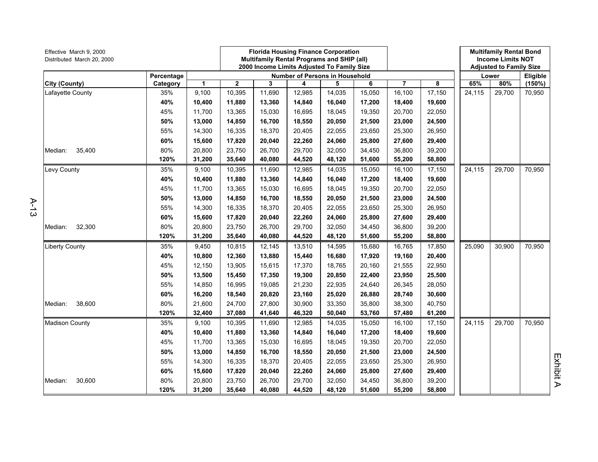| Effective March 9, 2000<br>Distributed March 20, 2000 |            | <b>Florida Housing Finance Corporation</b><br>Multifamily Rental Programs and SHIP (all)<br>2000 Income Limits Adjusted To Family Size |                                       |        |        |        |        |        | <b>Multifamily Rental Bond</b><br><b>Income Limits NOT</b><br><b>Adjusted to Family Size</b> |        |          |        |
|-------------------------------------------------------|------------|----------------------------------------------------------------------------------------------------------------------------------------|---------------------------------------|--------|--------|--------|--------|--------|----------------------------------------------------------------------------------------------|--------|----------|--------|
|                                                       | Percentage |                                                                                                                                        | <b>Number of Persons in Household</b> |        |        |        |        |        |                                                                                              | Lower  | Eligible |        |
| City (County)                                         | Category   | 1                                                                                                                                      | $\mathbf{2}$                          | 3      | 4      | 5      | 6      | 7      | 8                                                                                            | 65%    | 80%      | (150%) |
| Lafayette County                                      | 35%        | 9,100                                                                                                                                  | 10,395                                | 11,690 | 12,985 | 14,035 | 15,050 | 16,100 | 17,150                                                                                       | 24,115 | 29,700   | 70,950 |
|                                                       | 40%        | 10,400                                                                                                                                 | 11,880                                | 13,360 | 14,840 | 16,040 | 17,200 | 18,400 | 19,600                                                                                       |        |          |        |
|                                                       | 45%        | 11,700                                                                                                                                 | 13,365                                | 15,030 | 16,695 | 18,045 | 19,350 | 20,700 | 22,050                                                                                       |        |          |        |
|                                                       | 50%        | 13,000                                                                                                                                 | 14,850                                | 16,700 | 18,550 | 20,050 | 21,500 | 23,000 | 24,500                                                                                       |        |          |        |
|                                                       | 55%        | 14,300                                                                                                                                 | 16,335                                | 18,370 | 20,405 | 22,055 | 23,650 | 25,300 | 26,950                                                                                       |        |          |        |
|                                                       | 60%        | 15,600                                                                                                                                 | 17,820                                | 20,040 | 22,260 | 24,060 | 25,800 | 27,600 | 29,400                                                                                       |        |          |        |
| 35,400<br>Median:                                     | 80%        | 20,800                                                                                                                                 | 23,750                                | 26,700 | 29,700 | 32,050 | 34,450 | 36,800 | 39,200                                                                                       |        |          |        |
|                                                       | 120%       | 31,200                                                                                                                                 | 35,640                                | 40,080 | 44,520 | 48,120 | 51,600 | 55,200 | 58,800                                                                                       |        |          |        |
| Levy County                                           | 35%        | 9,100                                                                                                                                  | 10,395                                | 11,690 | 12,985 | 14,035 | 15,050 | 16,100 | 17,150                                                                                       | 24,115 | 29,700   | 70,950 |
|                                                       | 40%        | 10,400                                                                                                                                 | 11,880                                | 13,360 | 14,840 | 16,040 | 17,200 | 18,400 | 19,600                                                                                       |        |          |        |
|                                                       | 45%        | 11,700                                                                                                                                 | 13,365                                | 15,030 | 16,695 | 18,045 | 19,350 | 20,700 | 22,050                                                                                       |        |          |        |
|                                                       | 50%        | 13,000                                                                                                                                 | 14,850                                | 16,700 | 18,550 | 20,050 | 21,500 | 23,000 | 24,500                                                                                       |        |          |        |
|                                                       | 55%        | 14,300                                                                                                                                 | 16,335                                | 18,370 | 20,405 | 22,055 | 23,650 | 25,300 | 26,950                                                                                       |        |          |        |
|                                                       | 60%        | 15,600                                                                                                                                 | 17,820                                | 20,040 | 22,260 | 24,060 | 25,800 | 27,600 | 29,400                                                                                       |        |          |        |
| 32,300<br>Median:                                     | 80%        | 20,800                                                                                                                                 | 23,750                                | 26,700 | 29,700 | 32,050 | 34,450 | 36,800 | 39,200                                                                                       |        |          |        |
|                                                       | 120%       | 31,200                                                                                                                                 | 35,640                                | 40,080 | 44,520 | 48,120 | 51,600 | 55,200 | 58,800                                                                                       |        |          |        |
| <b>Liberty County</b>                                 | 35%        | 9,450                                                                                                                                  | 10,815                                | 12,145 | 13,510 | 14,595 | 15,680 | 16,765 | 17,850                                                                                       | 25,090 | 30,900   | 70,950 |
|                                                       | 40%        | 10,800                                                                                                                                 | 12,360                                | 13,880 | 15,440 | 16,680 | 17,920 | 19,160 | 20,400                                                                                       |        |          |        |
|                                                       | 45%        | 12,150                                                                                                                                 | 13,905                                | 15,615 | 17,370 | 18,765 | 20,160 | 21,555 | 22,950                                                                                       |        |          |        |
|                                                       | 50%        | 13,500                                                                                                                                 | 15,450                                | 17,350 | 19,300 | 20,850 | 22,400 | 23,950 | 25,500                                                                                       |        |          |        |
|                                                       | 55%        | 14,850                                                                                                                                 | 16,995                                | 19,085 | 21,230 | 22,935 | 24,640 | 26,345 | 28,050                                                                                       |        |          |        |
|                                                       | 60%        | 16,200                                                                                                                                 | 18,540                                | 20,820 | 23,160 | 25,020 | 26,880 | 28,740 | 30,600                                                                                       |        |          |        |
| 38,600<br>Median:                                     | 80%        | 21,600                                                                                                                                 | 24,700                                | 27,800 | 30,900 | 33,350 | 35,800 | 38,300 | 40,750                                                                                       |        |          |        |
|                                                       | 120%       | 32,400                                                                                                                                 | 37,080                                | 41,640 | 46,320 | 50,040 | 53,760 | 57,480 | 61,200                                                                                       |        |          |        |
| <b>Madison County</b>                                 | 35%        | 9,100                                                                                                                                  | 10,395                                | 11,690 | 12,985 | 14,035 | 15,050 | 16,100 | 17,150                                                                                       | 24,115 | 29,700   | 70,950 |
|                                                       | 40%        | 10,400                                                                                                                                 | 11,880                                | 13,360 | 14,840 | 16,040 | 17,200 | 18,400 | 19,600                                                                                       |        |          |        |
|                                                       | 45%        | 11,700                                                                                                                                 | 13,365                                | 15,030 | 16,695 | 18,045 | 19,350 | 20,700 | 22,050                                                                                       |        |          |        |
|                                                       | 50%        | 13,000                                                                                                                                 | 14,850                                | 16,700 | 18,550 | 20,050 | 21,500 | 23,000 | 24,500                                                                                       |        |          |        |
|                                                       | 55%        | 14,300                                                                                                                                 | 16,335                                | 18,370 | 20,405 | 22,055 | 23,650 | 25,300 | 26,950                                                                                       |        |          |        |
|                                                       | 60%        | 15,600                                                                                                                                 | 17,820                                | 20,040 | 22,260 | 24,060 | 25,800 | 27,600 | 29,400                                                                                       |        |          |        |
| 30,600<br>Median:                                     | 80%        | 20,800                                                                                                                                 | 23,750                                | 26,700 | 29,700 | 32,050 | 34,450 | 36,800 | 39,200                                                                                       |        |          |        |
|                                                       | 120%       | 31,200                                                                                                                                 | 35,640                                | 40,080 | 44,520 | 48,120 | 51,600 | 55,200 | 58,800                                                                                       |        |          |        |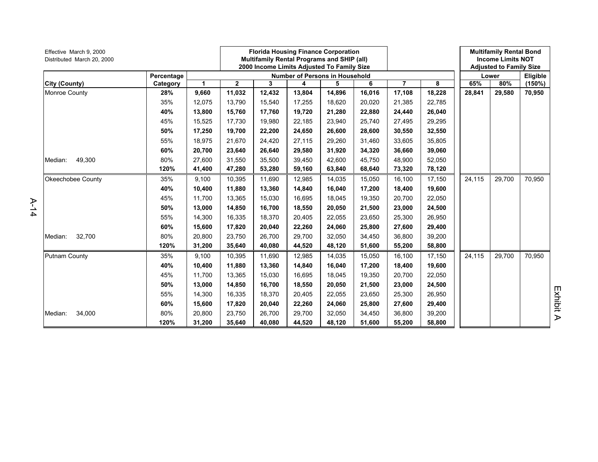| Effective March 9, 2000<br>Distributed March 20, 2000 |            | <b>Florida Housing Finance Corporation</b><br><b>Multifamily Rental Programs and SHIP (all)</b><br>2000 Income Limits Adjusted To Family Size |                                       |        |        |        |        |                | <b>Multifamily Rental Bond</b><br><b>Income Limits NOT</b><br><b>Adjusted to Family Size</b> |        |        |           |  |
|-------------------------------------------------------|------------|-----------------------------------------------------------------------------------------------------------------------------------------------|---------------------------------------|--------|--------|--------|--------|----------------|----------------------------------------------------------------------------------------------|--------|--------|-----------|--|
|                                                       | Percentage |                                                                                                                                               | <b>Number of Persons in Household</b> |        |        |        |        |                |                                                                                              |        | Lower  |           |  |
| City (County)                                         | Category   | $\mathbf{1}$                                                                                                                                  | $\mathbf{2}$                          | 3      | 4      | 5      | 6      | $\overline{7}$ | 8                                                                                            | 65%    | 80%    | $(150\%)$ |  |
| <b>Monroe County</b>                                  | 28%        | 9,660                                                                                                                                         | 11,032                                | 12,432 | 13,804 | 14,896 | 16,016 | 17,108         | 18,228                                                                                       | 28,841 | 29,580 | 70,950    |  |
|                                                       | 35%        | 12,075                                                                                                                                        | 13,790                                | 15,540 | 17,255 | 18,620 | 20,020 | 21,385         | 22,785                                                                                       |        |        |           |  |
|                                                       | 40%        | 13,800                                                                                                                                        | 15,760                                | 17,760 | 19,720 | 21,280 | 22,880 | 24,440         | 26,040                                                                                       |        |        |           |  |
|                                                       | 45%        | 15,525                                                                                                                                        | 17,730                                | 19,980 | 22,185 | 23,940 | 25,740 | 27,495         | 29,295                                                                                       |        |        |           |  |
|                                                       | 50%        | 17,250                                                                                                                                        | 19,700                                | 22,200 | 24,650 | 26,600 | 28.600 | 30,550         | 32,550                                                                                       |        |        |           |  |
|                                                       | 55%        | 18,975                                                                                                                                        | 21,670                                | 24,420 | 27,115 | 29,260 | 31,460 | 33,605         | 35,805                                                                                       |        |        |           |  |
|                                                       | 60%        | 20,700                                                                                                                                        | 23,640                                | 26,640 | 29,580 | 31,920 | 34,320 | 36,660         | 39,060                                                                                       |        |        |           |  |
| 49,300<br>Median:                                     | 80%        | 27,600                                                                                                                                        | 31,550                                | 35,500 | 39,450 | 42,600 | 45,750 | 48,900         | 52,050                                                                                       |        |        |           |  |
|                                                       | 120%       | 41,400                                                                                                                                        | 47,280                                | 53,280 | 59,160 | 63,840 | 68,640 | 73,320         | 78,120                                                                                       |        |        |           |  |
| Okeechobee County                                     | 35%        | 9,100                                                                                                                                         | 10,395                                | 11,690 | 12,985 | 14,035 | 15,050 | 16,100         | 17,150                                                                                       | 24,115 | 29,700 | 70,950    |  |
|                                                       | 40%        | 10,400                                                                                                                                        | 11,880                                | 13,360 | 14,840 | 16,040 | 17,200 | 18,400         | 19,600                                                                                       |        |        |           |  |
|                                                       | 45%        | 11,700                                                                                                                                        | 13,365                                | 15,030 | 16,695 | 18,045 | 19,350 | 20,700         | 22,050                                                                                       |        |        |           |  |
|                                                       | 50%        | 13,000                                                                                                                                        | 14,850                                | 16,700 | 18,550 | 20,050 | 21,500 | 23,000         | 24,500                                                                                       |        |        |           |  |
|                                                       | 55%        | 14,300                                                                                                                                        | 16,335                                | 18,370 | 20,405 | 22,055 | 23,650 | 25,300         | 26,950                                                                                       |        |        |           |  |
|                                                       | 60%        | 15,600                                                                                                                                        | 17,820                                | 20,040 | 22,260 | 24,060 | 25,800 | 27,600         | 29,400                                                                                       |        |        |           |  |
| 32,700<br>Median:                                     | 80%        | 20,800                                                                                                                                        | 23,750                                | 26,700 | 29,700 | 32,050 | 34,450 | 36,800         | 39,200                                                                                       |        |        |           |  |
|                                                       | 120%       | 31,200                                                                                                                                        | 35,640                                | 40,080 | 44,520 | 48,120 | 51,600 | 55,200         | 58,800                                                                                       |        |        |           |  |
| Putnam County                                         | 35%        | 9,100                                                                                                                                         | 10,395                                | 11,690 | 12,985 | 14,035 | 15,050 | 16,100         | 17,150                                                                                       | 24,115 | 29,700 | 70,950    |  |
|                                                       | 40%        | 10,400                                                                                                                                        | 11,880                                | 13,360 | 14,840 | 16,040 | 17,200 | 18,400         | 19,600                                                                                       |        |        |           |  |
|                                                       | 45%        | 11,700                                                                                                                                        | 13,365                                | 15,030 | 16,695 | 18,045 | 19,350 | 20,700         | 22,050                                                                                       |        |        |           |  |
|                                                       | 50%        | 13,000                                                                                                                                        | 14,850                                | 16,700 | 18,550 | 20,050 | 21,500 | 23,000         | 24,500                                                                                       |        |        |           |  |
|                                                       | 55%        | 14,300                                                                                                                                        | 16,335                                | 18,370 | 20.405 | 22,055 | 23.650 | 25,300         | 26,950                                                                                       |        |        |           |  |
|                                                       | 60%        | 15,600                                                                                                                                        | 17,820                                | 20,040 | 22,260 | 24,060 | 25,800 | 27,600         | 29,400                                                                                       |        |        |           |  |
| 34,000<br>Median:                                     | 80%        | 20,800                                                                                                                                        | 23,750                                | 26,700 | 29,700 | 32,050 | 34,450 | 36,800         | 39,200                                                                                       |        |        |           |  |
|                                                       | 120%       | 31,200                                                                                                                                        | 35,640                                | 40,080 | 44,520 | 48,120 | 51,600 | 55,200         | 58,800                                                                                       |        |        |           |  |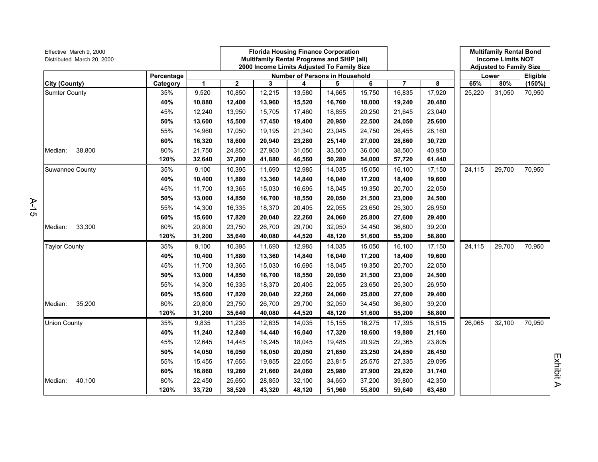| Effective March 9, 2000<br>Distributed March 20, 2000 |            |        |                                       | <b>Florida Housing Finance Corporation</b><br>Multifamily Rental Programs and SHIP (all)<br>2000 Income Limits Adjusted To Family Size |        |        |        |        |        |        | <b>Multifamily Rental Bond</b><br><b>Income Limits NOT</b><br><b>Adjusted to Family Size</b> |        |
|-------------------------------------------------------|------------|--------|---------------------------------------|----------------------------------------------------------------------------------------------------------------------------------------|--------|--------|--------|--------|--------|--------|----------------------------------------------------------------------------------------------|--------|
|                                                       | Percentage |        | <b>Number of Persons in Household</b> |                                                                                                                                        |        |        |        |        |        | Lower  | Eligible                                                                                     |        |
| City (County)                                         | Category   | 1      | $\mathbf 2$                           | 3                                                                                                                                      | 4      | 5      | 6      | 7      | 8      | 65%    | 80%                                                                                          | (150%) |
| <b>Sumter County</b>                                  | 35%        | 9,520  | 10,850                                | 12,215                                                                                                                                 | 13,580 | 14,665 | 15,750 | 16,835 | 17,920 | 25,220 | 31,050                                                                                       | 70,950 |
|                                                       | 40%        | 10,880 | 12,400                                | 13,960                                                                                                                                 | 15,520 | 16,760 | 18,000 | 19,240 | 20,480 |        |                                                                                              |        |
|                                                       | 45%        | 12,240 | 13,950                                | 15,705                                                                                                                                 | 17,460 | 18,855 | 20,250 | 21,645 | 23,040 |        |                                                                                              |        |
|                                                       | 50%        | 13,600 | 15,500                                | 17,450                                                                                                                                 | 19,400 | 20,950 | 22,500 | 24,050 | 25,600 |        |                                                                                              |        |
|                                                       | 55%        | 14,960 | 17,050                                | 19,195                                                                                                                                 | 21,340 | 23,045 | 24,750 | 26,455 | 28,160 |        |                                                                                              |        |
|                                                       | 60%        | 16,320 | 18,600                                | 20,940                                                                                                                                 | 23,280 | 25,140 | 27,000 | 28,860 | 30,720 |        |                                                                                              |        |
| 38,800<br>Median:                                     | 80%        | 21,750 | 24,850                                | 27,950                                                                                                                                 | 31,050 | 33,500 | 36,000 | 38,500 | 40,950 |        |                                                                                              |        |
|                                                       | 120%       | 32,640 | 37,200                                | 41,880                                                                                                                                 | 46,560 | 50,280 | 54,000 | 57,720 | 61,440 |        |                                                                                              |        |
| <b>Suwannee County</b>                                | 35%        | 9,100  | 10,395                                | 11,690                                                                                                                                 | 12,985 | 14,035 | 15,050 | 16,100 | 17,150 | 24,115 | 29,700                                                                                       | 70,950 |
|                                                       | 40%        | 10,400 | 11,880                                | 13,360                                                                                                                                 | 14,840 | 16,040 | 17,200 | 18,400 | 19,600 |        |                                                                                              |        |
|                                                       | 45%        | 11,700 | 13,365                                | 15,030                                                                                                                                 | 16,695 | 18,045 | 19,350 | 20,700 | 22,050 |        |                                                                                              |        |
|                                                       | 50%        | 13,000 | 14,850                                | 16,700                                                                                                                                 | 18,550 | 20,050 | 21,500 | 23,000 | 24,500 |        |                                                                                              |        |
|                                                       | 55%        | 14,300 | 16,335                                | 18,370                                                                                                                                 | 20,405 | 22,055 | 23,650 | 25,300 | 26,950 |        |                                                                                              |        |
|                                                       | 60%        | 15,600 | 17,820                                | 20,040                                                                                                                                 | 22,260 | 24,060 | 25,800 | 27,600 | 29,400 |        |                                                                                              |        |
| 33,300<br>Median:                                     | 80%        | 20,800 | 23,750                                | 26,700                                                                                                                                 | 29,700 | 32,050 | 34,450 | 36,800 | 39,200 |        |                                                                                              |        |
|                                                       | 120%       | 31,200 | 35,640                                | 40,080                                                                                                                                 | 44,520 | 48,120 | 51,600 | 55,200 | 58,800 |        |                                                                                              |        |
| <b>Taylor County</b>                                  | 35%        | 9,100  | 10,395                                | 11,690                                                                                                                                 | 12,985 | 14,035 | 15,050 | 16,100 | 17,150 | 24,115 | 29,700                                                                                       | 70,950 |
|                                                       | 40%        | 10,400 | 11,880                                | 13,360                                                                                                                                 | 14,840 | 16,040 | 17,200 | 18,400 | 19,600 |        |                                                                                              |        |
|                                                       | 45%        | 11,700 | 13,365                                | 15,030                                                                                                                                 | 16,695 | 18,045 | 19,350 | 20,700 | 22,050 |        |                                                                                              |        |
|                                                       | 50%        | 13,000 | 14,850                                | 16,700                                                                                                                                 | 18,550 | 20,050 | 21,500 | 23,000 | 24,500 |        |                                                                                              |        |
|                                                       | 55%        | 14,300 | 16,335                                | 18,370                                                                                                                                 | 20,405 | 22,055 | 23,650 | 25,300 | 26,950 |        |                                                                                              |        |
|                                                       | 60%        | 15,600 | 17,820                                | 20,040                                                                                                                                 | 22,260 | 24,060 | 25,800 | 27,600 | 29,400 |        |                                                                                              |        |
| 35,200<br>Median:                                     | 80%        | 20,800 | 23,750                                | 26,700                                                                                                                                 | 29,700 | 32,050 | 34,450 | 36,800 | 39,200 |        |                                                                                              |        |
|                                                       | 120%       | 31,200 | 35,640                                | 40,080                                                                                                                                 | 44,520 | 48,120 | 51,600 | 55,200 | 58,800 |        |                                                                                              |        |
| <b>Union County</b>                                   | 35%        | 9,835  | 11,235                                | 12,635                                                                                                                                 | 14,035 | 15,155 | 16,275 | 17,395 | 18,515 | 26,065 | 32,100                                                                                       | 70,950 |
|                                                       | 40%        | 11,240 | 12,840                                | 14,440                                                                                                                                 | 16,040 | 17,320 | 18,600 | 19,880 | 21,160 |        |                                                                                              |        |
|                                                       | 45%        | 12,645 | 14,445                                | 16,245                                                                                                                                 | 18,045 | 19,485 | 20,925 | 22,365 | 23,805 |        |                                                                                              |        |
|                                                       | 50%        | 14,050 | 16,050                                | 18,050                                                                                                                                 | 20,050 | 21,650 | 23,250 | 24,850 | 26,450 |        |                                                                                              |        |
|                                                       | 55%        | 15,455 | 17,655                                | 19,855                                                                                                                                 | 22,055 | 23,815 | 25,575 | 27,335 | 29,095 |        |                                                                                              |        |
|                                                       | 60%        | 16,860 | 19,260                                | 21,660                                                                                                                                 | 24,060 | 25,980 | 27,900 | 29,820 | 31,740 |        |                                                                                              |        |
| Median:<br>40,100                                     | 80%        | 22,450 | 25,650                                | 28,850                                                                                                                                 | 32,100 | 34,650 | 37,200 | 39,800 | 42,350 |        |                                                                                              |        |
|                                                       | 120%       | 33,720 | 38,520                                | 43,320                                                                                                                                 | 48,120 | 51,960 | 55,800 | 59,640 | 63,480 |        |                                                                                              |        |